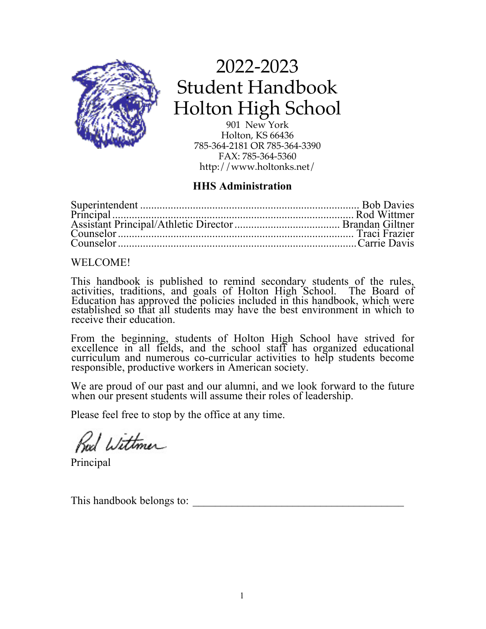

2022-2023 Student Handbook Holton High School

901 New York Holton, KS 66436 785-364-2181 OR 785-364-3390 FAX: 785-364-5360 http://www.holtonks.net/

# **HHS Administration**

# WELCOME!

This handbook is published to remind secondary students of the rules, activities, traditions, and goals of Holton High School. The Board of Education has approved the policies included in this handbook, which were established so that all students may have the best environment in which to established so that all students may have the best environment in which to receive their education.

From the beginning, students of Holton High School have strived for excellence in all fields, and the school staff has organized educational curriculum and numerous co-curricular activities to help students become responsible, productive workers in American society.

We are proud of our past and our alumni, and we look forward to the future when our present students will assume their roles of leadership.

Please feel free to stop by the office at any time.

Red Wittmer

Principal

This handbook belongs to: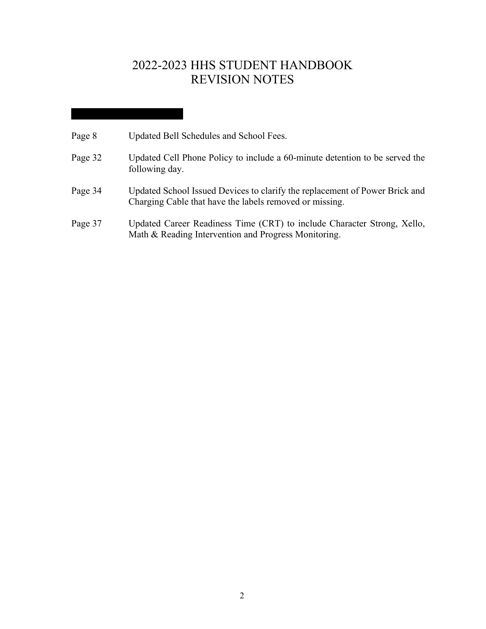# 2022-2023 HHS STUDENT HANDBOOK REVISION NOTES

| Page 8 | Updated Bell Schedules and School Fees. |
|--------|-----------------------------------------|
|--------|-----------------------------------------|

- Page 32 Updated Cell Phone Policy to include a 60-minute detention to be served the following day.
- Page 34 Updated School Issued Devices to clarify the replacement of Power Brick and Charging Cable that have the labels removed or missing.
- Page 37 Updated Career Readiness Time (CRT) to include Character Strong, Xello, Math & Reading Intervention and Progress Monitoring.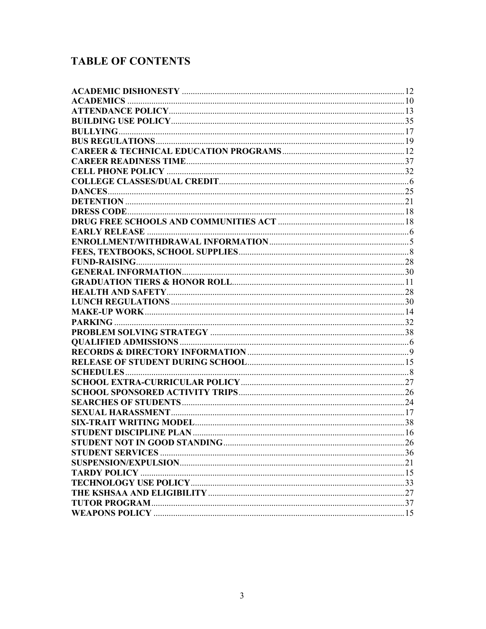# **TABLE OF CONTENTS**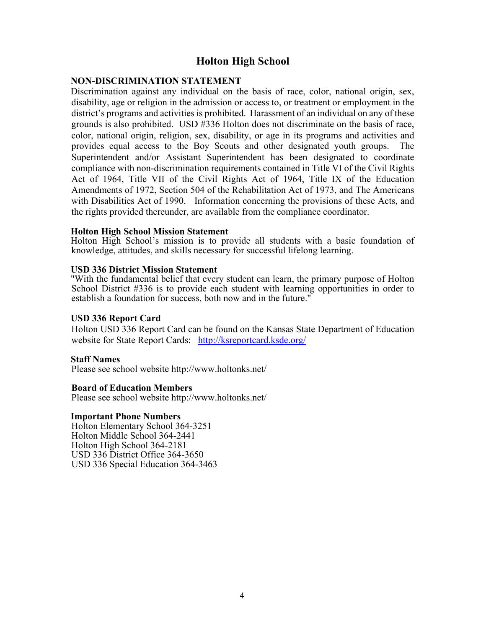# **Holton High School**

# **NON-DISCRIMINATION STATEMENT**

Discrimination against any individual on the basis of race, color, national origin, sex, disability, age or religion in the admission or access to, or treatment or employment in the district's programs and activities is prohibited. Harassment of an individual on any of these grounds is also prohibited. USD #336 Holton does not discriminate on the basis of race, color, national origin, religion, sex, disability, or age in its programs and activities and provides equal access to the Boy Scouts and other designated youth groups. The Superintendent and/or Assistant Superintendent has been designated to coordinate compliance with non-discrimination requirements contained in Title VI of the Civil Rights Act of 1964, Title VII of the Civil Rights Act of 1964, Title IX of the Education Amendments of 1972, Section 504 of the Rehabilitation Act of 1973, and The Americans with Disabilities Act of 1990. Information concerning the provisions of these Acts, and the rights provided thereunder, are available from the compliance coordinator.

#### **Holton High School Mission Statement**

Holton High School's mission is to provide all students with a basic foundation of knowledge, attitudes, and skills necessary for successful lifelong learning.

#### **USD 336 District Mission Statement**

"With the fundamental belief that every student can learn, the primary purpose of Holton School District #336 is to provide each student with learning opportunities in order to establish a foundation for success, both now and in the future."

#### **USD 336 Report Card**

Holton USD 336 Report Card can be found on the Kansas State Department of Education website for State Report Cards: http://ksreportcard.ksde.org/

#### **Staff Names**

Please see school website http://www.holtonks.net/

#### **Board of Education Members**

Please see school website http://www.holtonks.net/

#### **Important Phone Numbers**

Holton Elementary School 364-3251 Holton Middle School 364-2441 Holton High School 364-2181 USD 336 District Office 364-3650 USD 336 Special Education 364-3463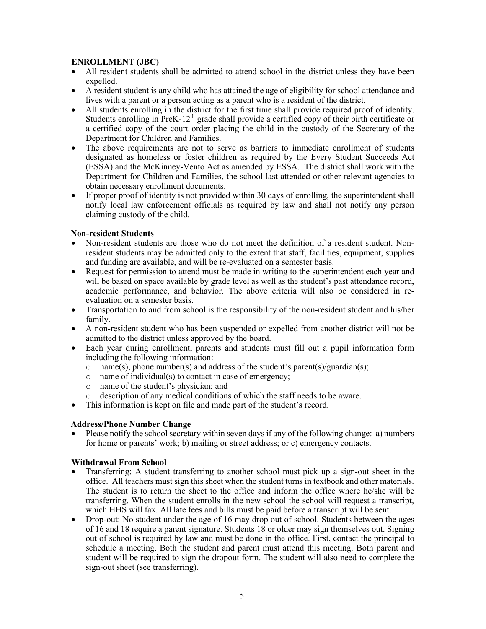# **ENROLLMENT (JBC)**

- All resident students shall be admitted to attend school in the district unless they have been expelled.
- A resident student is any child who has attained the age of eligibility for school attendance and lives with a parent or a person acting as a parent who is a resident of the district.
- All students enrolling in the district for the first time shall provide required proof of identity. Students enrolling in PreK-12<sup>th</sup> grade shall provide a certified copy of their birth certificate or a certified copy of the court order placing the child in the custody of the Secretary of the Department for Children and Families.
- The above requirements are not to serve as barriers to immediate enrollment of students designated as homeless or foster children as required by the Every Student Succeeds Act (ESSA) and the McKinney-Vento Act as amended by ESSA. The district shall work with the Department for Children and Families, the school last attended or other relevant agencies to obtain necessary enrollment documents.
- If proper proof of identity is not provided within 30 days of enrolling, the superintendent shall notify local law enforcement officials as required by law and shall not notify any person claiming custody of the child.

## **Non-resident Students**

- Non-resident students are those who do not meet the definition of a resident student. Nonresident students may be admitted only to the extent that staff, facilities, equipment, supplies and funding are available, and will be re-evaluated on a semester basis.
- Request for permission to attend must be made in writing to the superintendent each year and will be based on space available by grade level as well as the student's past attendance record, academic performance, and behavior. The above criteria will also be considered in reevaluation on a semester basis.
- Transportation to and from school is the responsibility of the non-resident student and his/her family.
- A non-resident student who has been suspended or expelled from another district will not be admitted to the district unless approved by the board.
- Each year during enrollment, parents and students must fill out a pupil information form including the following information:
	- o name(s), phone number(s) and address of the student's parent(s)/guardian(s);
	- $\circ$  name of individual(s) to contact in case of emergency;
	- o name of the student's physician; and
	- o description of any medical conditions of which the staff needs to be aware.
- This information is kept on file and made part of the student's record.

# **Address/Phone Number Change**

• Please notify the school secretary within seven days if any of the following change: a) numbers for home or parents' work; b) mailing or street address; or c) emergency contacts.

#### **Withdrawal From School**

- Transferring: A student transferring to another school must pick up a sign-out sheet in the office. All teachers must sign this sheet when the student turns in textbook and other materials. The student is to return the sheet to the office and inform the office where he/she will be transferring. When the student enrolls in the new school the school will request a transcript, which HHS will fax. All late fees and bills must be paid before a transcript will be sent.
- Drop-out: No student under the age of 16 may drop out of school. Students between the ages of 16 and 18 require a parent signature. Students 18 or older may sign themselves out. Signing out of school is required by law and must be done in the office. First, contact the principal to schedule a meeting. Both the student and parent must attend this meeting. Both parent and student will be required to sign the dropout form. The student will also need to complete the sign-out sheet (see transferring).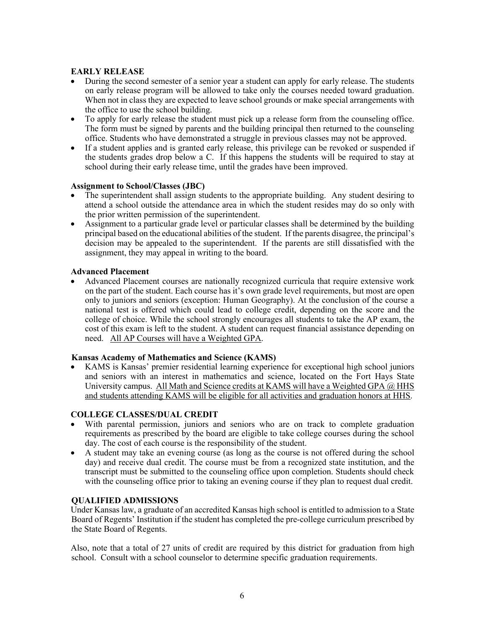#### **EARLY RELEASE**

- During the second semester of a senior year a student can apply for early release. The students on early release program will be allowed to take only the courses needed toward graduation. When not in class they are expected to leave school grounds or make special arrangements with the office to use the school building.
- To apply for early release the student must pick up a release form from the counseling office. The form must be signed by parents and the building principal then returned to the counseling office. Students who have demonstrated a struggle in previous classes may not be approved.
- If a student applies and is granted early release, this privilege can be revoked or suspended if the students grades drop below a C. If this happens the students will be required to stay at school during their early release time, until the grades have been improved.

#### **Assignment to School/Classes (JBC)**

- The superintendent shall assign students to the appropriate building. Any student desiring to attend a school outside the attendance area in which the student resides may do so only with the prior written permission of the superintendent.
- Assignment to a particular grade level or particular classes shall be determined by the building principal based on the educational abilities of the student. If the parents disagree, the principal's decision may be appealed to the superintendent. If the parents are still dissatisfied with the assignment, they may appeal in writing to the board.

#### **Advanced Placement**

• Advanced Placement courses are nationally recognized curricula that require extensive work on the part of the student. Each course has it's own grade level requirements, but most are open only to juniors and seniors (exception: Human Geography). At the conclusion of the course a national test is offered which could lead to college credit, depending on the score and the college of choice. While the school strongly encourages all students to take the AP exam, the cost of this exam is left to the student. A student can request financial assistance depending on need. All AP Courses will have a Weighted GPA.

#### **Kansas Academy of Mathematics and Science (KAMS)**

• KAMS is Kansas' premier residential learning experience for exceptional high school juniors and seniors with an interest in mathematics and science, located on the Fort Hays State University campus. All Math and Science credits at KAMS will have a Weighted GPA @ HHS and students attending KAMS will be eligible for all activities and graduation honors at HHS.

#### **COLLEGE CLASSES/DUAL CREDIT**

- With parental permission, juniors and seniors who are on track to complete graduation requirements as prescribed by the board are eligible to take college courses during the school day. The cost of each course is the responsibility of the student.
- A student may take an evening course (as long as the course is not offered during the school day) and receive dual credit. The course must be from a recognized state institution, and the transcript must be submitted to the counseling office upon completion. Students should check with the counseling office prior to taking an evening course if they plan to request dual credit.

#### **QUALIFIED ADMISSIONS**

Under Kansas law, a graduate of an accredited Kansas high school is entitled to admission to a State Board of Regents' Institution if the student has completed the pre-college curriculum prescribed by the State Board of Regents.

Also, note that a total of 27 units of credit are required by this district for graduation from high school. Consult with a school counselor to determine specific graduation requirements.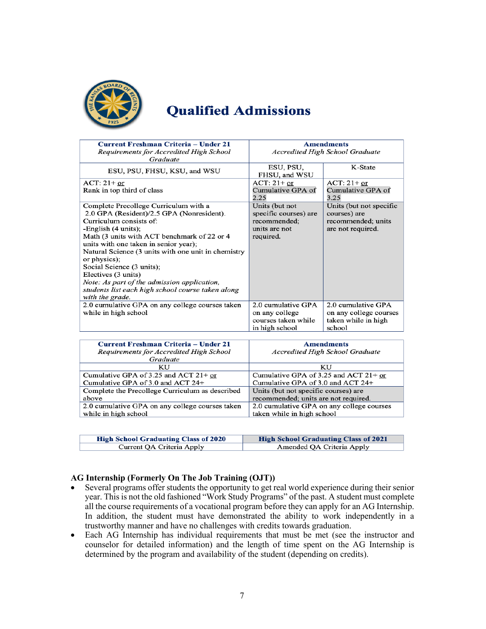

# **Qualified Admissions**

| Current Freshman Criteria - Under 21                                | <b>Amendments</b>                      |                         |
|---------------------------------------------------------------------|----------------------------------------|-------------------------|
| Requirements for Accredited High School                             | <b>Accredited High School Graduate</b> |                         |
| Graduate                                                            |                                        |                         |
| ESU, PSU, FHSU, KSU, and WSU                                        | ESU, PSU,<br>FHSU, and WSU             | K-State                 |
| $ACT: 21+ or$                                                       | $ACT: 21+ or$                          | $ACT: 21+ or$           |
| Rank in top third of class                                          | Cumulative GPA of                      | Cumulative GPA of       |
|                                                                     | 2.25                                   | 3.25                    |
| Complete Precollege Curriculum with a                               | Units (but not                         | Units (but not specific |
| 2.0 GPA (Resident)/2.5 GPA (Nonresident).                           | specific courses) are                  | courses) are            |
| Curriculum consists of:                                             | recommended;<br>recommended; units     |                         |
| -English (4 units);                                                 | units are not                          | are not required.       |
| Math (3 units with ACT benchmark of 22 or 4                         | required.                              |                         |
| units with one taken in senior year);                               |                                        |                         |
| Natural Science (3 units with one unit in chemistry<br>or physics); |                                        |                         |
| Social Science (3 units);                                           |                                        |                         |
| Electives (3 units)                                                 |                                        |                         |
| Note: As part of the admission application,                         |                                        |                         |
| students list each high school course taken along                   |                                        |                         |
| with the grade.                                                     |                                        |                         |
| 2.0 cumulative GPA on any college courses taken                     | 2.0 cumulative GPA                     | 2.0 cumulative GPA      |
| while in high school                                                | on any college                         | on any college courses  |
|                                                                     | courses taken while                    | taken while in high     |
|                                                                     | in high school                         | school                  |

| Current Freshman Criteria – Under 21            | <b>Amendments</b>                         |
|-------------------------------------------------|-------------------------------------------|
| Requirements for Accredited High School         | <b>Accredited High School Graduate</b>    |
| Graduate                                        |                                           |
| KU                                              | KU                                        |
| Cumulative GPA of 3.25 and ACT $21+$ or         | Cumulative GPA of 3.25 and ACT $21+$ or   |
| Cumulative GPA of 3.0 and ACT 24+               | Cumulative GPA of 3.0 and ACT 24+         |
| Complete the Precollege Curriculum as described | Units (but not specific courses) are      |
| above                                           | recommended; units are not required.      |
| 2.0 cumulative GPA on any college courses taken | 2.0 cumulative GPA on any college courses |
| while in high school                            | taken while in high school                |

| <b>High School Graduating Class of 2020</b> | <b>High School Graduating Class of 2021</b> |
|---------------------------------------------|---------------------------------------------|
| Current QA Criteria Apply                   | Amended QA Criteria Apply                   |

#### **AG Internship (Formerly On The Job Training (OJT))**

- Several programs offer students the opportunity to get real world experience during their senior year. This is not the old fashioned "Work Study Programs" of the past. A student must complete all the course requirements of a vocational program before they can apply for an AG Internship. In addition, the student must have demonstrated the ability to work independently in a trustworthy manner and have no challenges with credits towards graduation.
- Each AG Internship has individual requirements that must be met (see the instructor and counselor for detailed information) and the length of time spent on the AG Internship is determined by the program and availability of the student (depending on credits).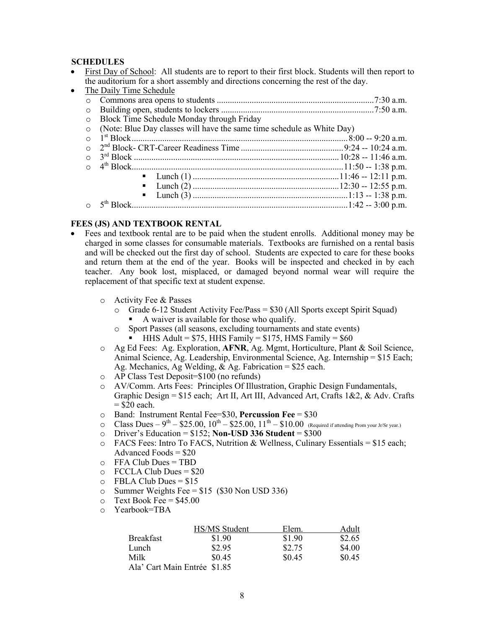#### **SCHEDULES**

• First Day of School: All students are to report to their first block. Students will then report to the auditorium for a short assembly and directions concerning the rest of the day.

| $\bullet$ | The Daily Time Schedule                                                |  |
|-----------|------------------------------------------------------------------------|--|
| $\circ$   |                                                                        |  |
| $\circ$   |                                                                        |  |
| $\circ$   | Block Time Schedule Monday through Friday                              |  |
| $\Omega$  | (Note: Blue Day classes will have the same time schedule as White Day) |  |
| $\Omega$  |                                                                        |  |
| $\Omega$  |                                                                        |  |
| $\Omega$  |                                                                        |  |
|           |                                                                        |  |
|           | $\blacksquare$                                                         |  |
|           | $\blacksquare$                                                         |  |
|           | $\blacksquare$                                                         |  |
|           |                                                                        |  |

#### **FEES (JS) AND TEXTBOOK RENTAL**

- Fees and textbook rental are to be paid when the student enrolls. Additional money may be charged in some classes for consumable materials. Textbooks are furnished on a rental basis and will be checked out the first day of school. Students are expected to care for these books and return them at the end of the year. Books will be inspected and checked in by each teacher. Any book lost, misplaced, or damaged beyond normal wear will require the replacement of that specific text at student expense.
	- o Activity Fee & Passes
		- o Grade 6-12 Student Activity Fee/Pass = \$30 (All Sports except Spirit Squad)
			- § A waiver is available for those who qualify.
		- o Sport Passes (all seasons, excluding tournaments and state events) HHS Adult =  $$75$ , HHS Family =  $$175$ , HMS Family =  $$60$
	- o Ag Ed Fees: Ag. Exploration, **AFNR**, Ag. Mgmt, Horticulture, Plant & Soil Science, Animal Science, Ag. Leadership, Environmental Science, Ag. Internship = \$15 Each; Ag. Mechanics, Ag Welding, & Ag. Fabrication = \$25 each.
	- o AP Class Test Deposit=\$100 (no refunds)
	- o AV/Comm. Arts Fees: Principles Of Illustration, Graphic Design Fundamentals, Graphic Design = \$15 each; Art II, Art III, Advanced Art, Crafts 1&2, & Adv. Crafts  $=$  \$20 each.
	- o Band: Instrument Rental Fee=\$30, **Percussion Fee** = \$30
	- $\degree$  Class Dues 9<sup>th</sup> \$25.00, 10<sup>th</sup> \$25.00, 11<sup>th</sup> \$10.00 (Required if attending Prom your Jr/Sr year.)
	- $\circ$  Driver's Education = \$152; **Non-USD 336 Student** = \$300
	- $\circ$  FACS Fees: Intro To FACS, Nutrition & Wellness, Culinary Essentials = \$15 each; Advanced Foods = \$20
	- o FFA Club Dues = TBD
	- $\circ$  FCCLA Club Dues = \$20
	- $O$  FBLA Club Dues = \$15
	- o Summer Weights Fee =  $$15$  (\$30 Non USD 336)
	- $\circ$  Text Book Fee = \$45.00
	- o Yearbook=TBA

|                              | HS/MS Student | Elem.  | Adult  |
|------------------------------|---------------|--------|--------|
| <b>Breakfast</b>             | \$1.90        | \$1.90 | \$2.65 |
| Lunch                        | \$2.95        | \$2.75 | \$4.00 |
| Milk                         | \$0.45        | \$0.45 | \$0.45 |
| Ala' Cart Main Entrée \$1.85 |               |        |        |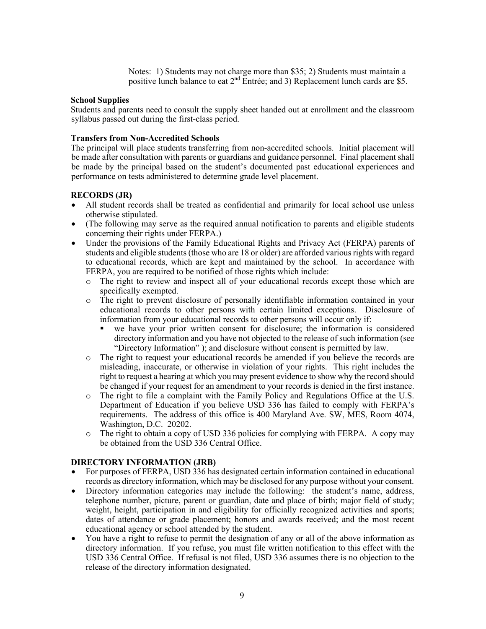Notes: 1) Students may not charge more than \$35; 2) Students must maintain a positive lunch balance to eat  $2^{nd}$  Entrée; and 3) Replacement lunch cards are \$5.

#### **School Supplies**

Students and parents need to consult the supply sheet handed out at enrollment and the classroom syllabus passed out during the first-class period.

#### **Transfers from Non-Accredited Schools**

The principal will place students transferring from non-accredited schools. Initial placement will be made after consultation with parents or guardians and guidance personnel. Final placement shall be made by the principal based on the student's documented past educational experiences and performance on tests administered to determine grade level placement.

#### **RECORDS (JR)**

- All student records shall be treated as confidential and primarily for local school use unless otherwise stipulated.
- (The following may serve as the required annual notification to parents and eligible students concerning their rights under FERPA.)
- Under the provisions of the Family Educational Rights and Privacy Act (FERPA) parents of students and eligible students (those who are 18 or older) are afforded various rights with regard to educational records, which are kept and maintained by the school. In accordance with FERPA, you are required to be notified of those rights which include:
	- o The right to review and inspect all of your educational records except those which are specifically exempted.
	- o The right to prevent disclosure of personally identifiable information contained in your educational records to other persons with certain limited exceptions. Disclosure of information from your educational records to other persons will occur only if:
		- § we have your prior written consent for disclosure; the information is considered directory information and you have not objected to the release of such information (see "Directory Information" ); and disclosure without consent is permitted by law.
	- o The right to request your educational records be amended if you believe the records are misleading, inaccurate, or otherwise in violation of your rights. This right includes the right to request a hearing at which you may present evidence to show why the record should be changed if your request for an amendment to your records is denied in the first instance.
	- o The right to file a complaint with the Family Policy and Regulations Office at the U.S. Department of Education if you believe USD 336 has failed to comply with FERPA's requirements. The address of this office is 400 Maryland Ave. SW, MES, Room 4074, Washington, D.C. 20202.
	- o The right to obtain a copy of USD 336 policies for complying with FERPA. A copy may be obtained from the USD 336 Central Office.

#### **DIRECTORY INFORMATION (JRB)**

- For purposes of FERPA, USD 336 has designated certain information contained in educational records as directory information, which may be disclosed for any purpose without your consent.
- Directory information categories may include the following: the student's name, address, telephone number, picture, parent or guardian, date and place of birth; major field of study; weight, height, participation in and eligibility for officially recognized activities and sports; dates of attendance or grade placement; honors and awards received; and the most recent educational agency or school attended by the student.
- You have a right to refuse to permit the designation of any or all of the above information as directory information. If you refuse, you must file written notification to this effect with the USD 336 Central Office. If refusal is not filed, USD 336 assumes there is no objection to the release of the directory information designated.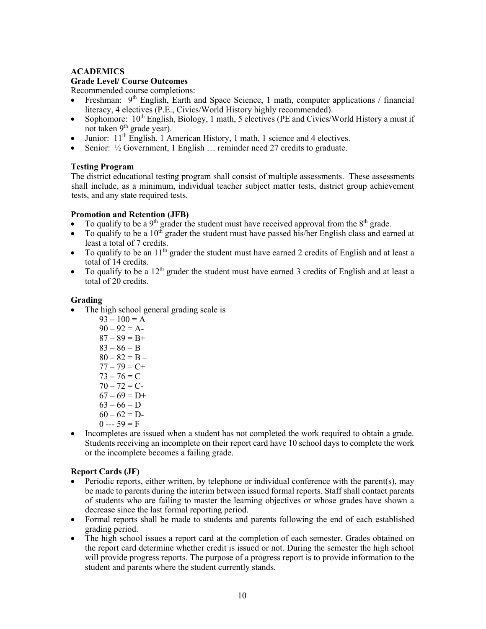### **ACADEMICS**

## **Grade Level/ Course Outcomes**

Recommended course completions:

- Freshman:  $9<sup>th</sup>$  English, Earth and Space Science, 1 math, computer applications / financial literacy, 4 electives (P.E., Civics/World History highly recommended).
- Sophomore:  $10<sup>th</sup>$  English, Biology, 1 math, 5 electives (PE and Civics/World History a must if not taken  $9<sup>th</sup>$  grade year).
- Junior:  $11<sup>th</sup>$  English, 1 American History, 1 math, 1 science and 4 electives.
- Senior: ½ Government, 1 English ... reminder need 27 credits to graduate.

## **Testing Program**

The district educational testing program shall consist of multiple assessments. These assessments shall include, as a minimum, individual teacher subject matter tests, district group achievement tests, and any state required tests.

#### **Promotion and Retention (JFB)**

- To qualify to be a 9<sup>th</sup> grader the student must have received approval from the  $8<sup>th</sup>$  grade.
- To qualify to be a  $10^{th}$  grader the student must have passed his/her English class and earned at least a total of 7 credits.
- To qualify to be an  $11<sup>th</sup>$  grader the student must have earned 2 credits of English and at least a total of 14 credits.
- To qualify to be a  $12<sup>th</sup>$  grader the student must have earned 3 credits of English and at least a total of 20 credits.

## **Grading**

- The high school general grading scale is
	- $93 100 = A$  $90 - 92 = A$  $87 - 89 = B +$  $83 - 86 = B$  $80 - 82 = B 77 - 79 = C +$  $73 - 76 = C$  $70 - 72 = C$  $67 - 69 = D+$  $63 - 66 = D$  $60 - 62 = D$  $0 -- 59 = F$
- Incompletes are issued when a student has not completed the work required to obtain a grade. Students receiving an incomplete on their report card have 10 school days to complete the work or the incomplete becomes a failing grade.

# **Report Cards (JF)**

- Periodic reports, either written, by telephone or individual conference with the parent(s), may be made to parents during the interim between issued formal reports. Staff shall contact parents of students who are failing to master the learning objectives or whose grades have shown a decrease since the last formal reporting period.
- Formal reports shall be made to students and parents following the end of each established grading period.
- The high school issues a report card at the completion of each semester. Grades obtained on the report card determine whether credit is issued or not. During the semester the high school will provide progress reports. The purpose of a progress report is to provide information to the student and parents where the student currently stands.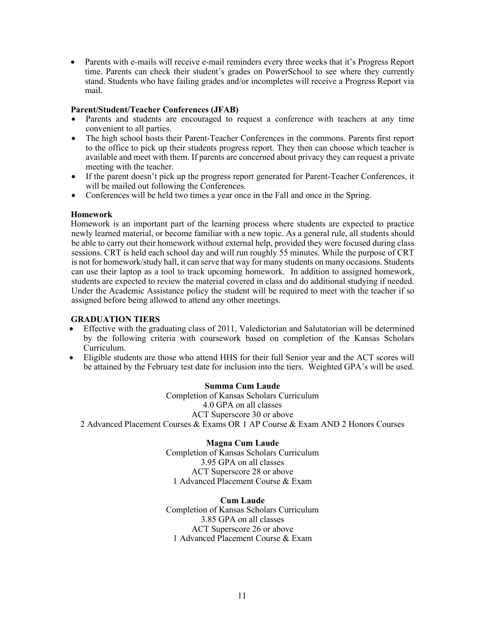• Parents with e-mails will receive e-mail reminders every three weeks that it's Progress Report time. Parents can check their student's grades on PowerSchool to see where they currently stand. Students who have failing grades and/or incompletes will receive a Progress Report via mail.

#### **Parent/Student/Teacher Conferences (JFAB)**

- Parents and students are encouraged to request a conference with teachers at any time convenient to all parties.
- The high school hosts their Parent-Teacher Conferences in the commons. Parents first report to the office to pick up their students progress report. They then can choose which teacher is available and meet with them. If parents are concerned about privacy they can request a private meeting with the teacher.
- If the parent doesn't pick up the progress report generated for Parent-Teacher Conferences, it will be mailed out following the Conferences.
- Conferences will be held two times a year once in the Fall and once in the Spring.

## **Homework**

Homework is an important part of the learning process where students are expected to practice newly learned material, or become familiar with a new topic. As a general rule, all students should be able to carry out their homework without external help, provided they were focused during class sessions. CRT is held each school day and will run roughly 55 minutes. While the purpose of CRT is not for homework/study hall, it can serve that way for many students on many occasions. Students can use their laptop as a tool to track upcoming homework. In addition to assigned homework, students are expected to review the material covered in class and do additional studying if needed. Under the Academic Assistance policy the student will be required to meet with the teacher if so assigned before being allowed to attend any other meetings.

#### **GRADUATION TIERS**

- Effective with the graduating class of 2011, Valedictorian and Salutatorian will be determined by the following criteria with coursework based on completion of the Kansas Scholars Curriculum.
- Eligible students are those who attend HHS for their full Senior year and the ACT scores will be attained by the February test date for inclusion into the tiers. Weighted GPA's will be used.

**Summa Cum Laude** Completion of Kansas Scholars Curriculum 4.0 GPA on all classes ACT Superscore 30 or above 2 Advanced Placement Courses & Exams OR 1 AP Course & Exam AND 2 Honors Courses

# **Magna Cum Laude** Completion of Kansas Scholars Curriculum 3.95 GPA on all classes

ACT Superscore 28 or above 1 Advanced Placement Course & Exam

#### **Cum Laude** Completion of Kansas Scholars Curriculum 3.85 GPA on all classes ACT Superscore 26 or above 1 Advanced Placement Course & Exam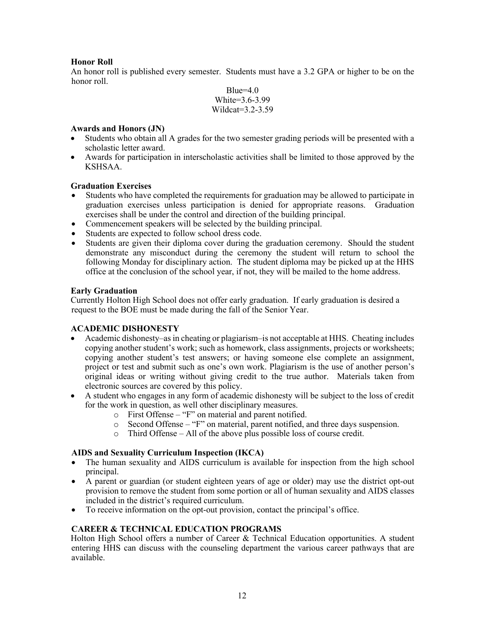## **Honor Roll**

An honor roll is published every semester. Students must have a 3.2 GPA or higher to be on the honor roll.

> $Blue=4.0$ White=3.6-3.99 Wildcat=3.2-3.59

## **Awards and Honors (JN)**

- Students who obtain all A grades for the two semester grading periods will be presented with a scholastic letter award.
- Awards for participation in interscholastic activities shall be limited to those approved by the KSHSAA.

#### **Graduation Exercises**

- Students who have completed the requirements for graduation may be allowed to participate in graduation exercises unless participation is denied for appropriate reasons. Graduation exercises shall be under the control and direction of the building principal.
- Commencement speakers will be selected by the building principal.
- Students are expected to follow school dress code.
- Students are given their diploma cover during the graduation ceremony. Should the student demonstrate any misconduct during the ceremony the student will return to school the following Monday for disciplinary action. The student diploma may be picked up at the HHS office at the conclusion of the school year, if not, they will be mailed to the home address.

#### **Early Graduation**

Currently Holton High School does not offer early graduation. If early graduation is desired a request to the BOE must be made during the fall of the Senior Year.

#### **ACADEMIC DISHONESTY**

- Academic dishonesty–as in cheating or plagiarism–is not acceptable at HHS. Cheating includes copying another student's work; such as homework, class assignments, projects or worksheets; copying another student's test answers; or having someone else complete an assignment, project or test and submit such as one's own work. Plagiarism is the use of another person's original ideas or writing without giving credit to the true author. Materials taken from electronic sources are covered by this policy.
- A student who engages in any form of academic dishonesty will be subject to the loss of credit for the work in question, as well other disciplinary measures.
	- o First Offense "F" on material and parent notified.
	- o Second Offense "F" on material, parent notified, and three days suspension.
	- o Third Offense All of the above plus possible loss of course credit.

#### **AIDS and Sexuality Curriculum Inspection (IKCA)**

- The human sexuality and AIDS curriculum is available for inspection from the high school principal.
- A parent or guardian (or student eighteen years of age or older) may use the district opt-out provision to remove the student from some portion or all of human sexuality and AIDS classes included in the district's required curriculum.
- To receive information on the opt-out provision, contact the principal's office.

# **CAREER & TECHNICAL EDUCATION PROGRAMS**

Holton High School offers a number of Career & Technical Education opportunities. A student entering HHS can discuss with the counseling department the various career pathways that are available.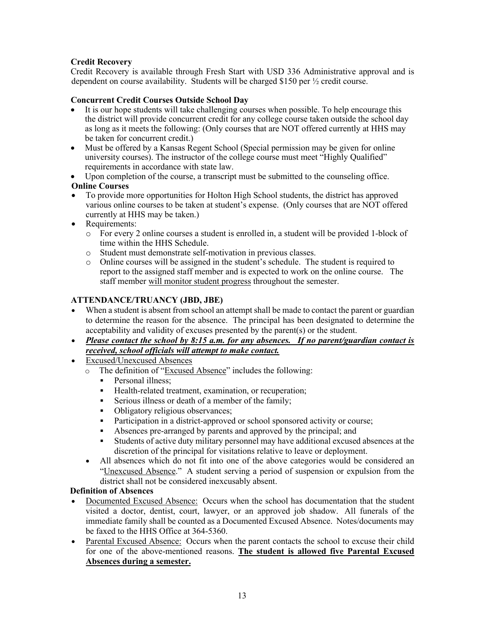# **Credit Recovery**

Credit Recovery is available through Fresh Start with USD 336 Administrative approval and is dependent on course availability. Students will be charged \$150 per ½ credit course.

# **Concurrent Credit Courses Outside School Day**

- It is our hope students will take challenging courses when possible. To help encourage this the district will provide concurrent credit for any college course taken outside the school day as long as it meets the following: (Only courses that are NOT offered currently at HHS may be taken for concurrent credit.)
- Must be offered by a Kansas Regent School (Special permission may be given for online university courses). The instructor of the college course must meet "Highly Qualified" requirements in accordance with state law.
- Upon completion of the course, a transcript must be submitted to the counseling office.

# **Online Courses**

- To provide more opportunities for Holton High School students, the district has approved various online courses to be taken at student's expense. (Only courses that are NOT offered currently at HHS may be taken.)
- Requirements:
	- o For every 2 online courses a student is enrolled in, a student will be provided 1-block of time within the HHS Schedule.
	- o Student must demonstrate self-motivation in previous classes.
	- o Online courses will be assigned in the student's schedule. The student is required to report to the assigned staff member and is expected to work on the online course. The staff member will monitor student progress throughout the semester.

# **ATTENDANCE/TRUANCY (JBD, JBE)**

- When a student is absent from school an attempt shall be made to contact the parent or guardian to determine the reason for the absence. The principal has been designated to determine the acceptability and validity of excuses presented by the parent(s) or the student.
- *Please contact the school by 8:15 a.m. for any absences. If no parent/guardian contact is received, school officials will attempt to make contact.*
- Excused/Unexcused Absences
	- o The definition of "Excused Absence" includes the following:
		- § Personal illness;
		- Health-related treatment, examination, or recuperation;
		- Serious illness or death of a member of the family;
		- Obligatory religious observances;
		- Participation in a district-approved or school sponsored activity or course;
		- § Absences pre-arranged by parents and approved by the principal; and
		- § Students of active duty military personnel may have additional excused absences at the discretion of the principal for visitations relative to leave or deployment.
	- All absences which do not fit into one of the above categories would be considered an "Unexcused Absence." A student serving a period of suspension or expulsion from the district shall not be considered inexcusably absent.

# **Definition of Absences**

- Documented Excused Absence: Occurs when the school has documentation that the student visited a doctor, dentist, court, lawyer, or an approved job shadow. All funerals of the immediate family shall be counted as a Documented Excused Absence. Notes/documents may be faxed to the HHS Office at 364-5360.
- Parental Excused Absence: Occurs when the parent contacts the school to excuse their child for one of the above-mentioned reasons. **The student is allowed five Parental Excused Absences during a semester.**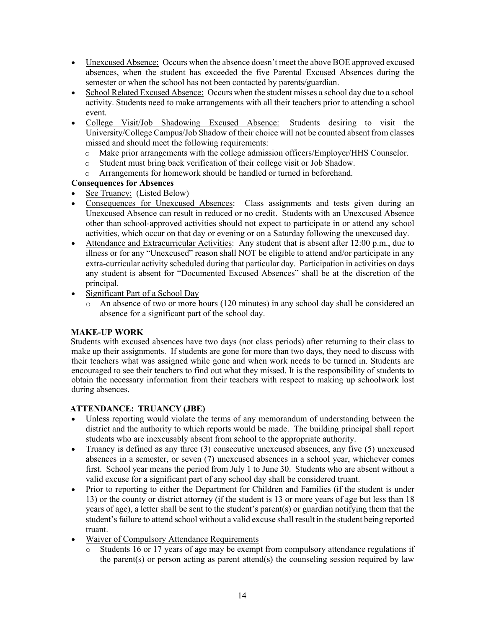- Unexcused Absence: Occurs when the absence doesn't meet the above BOE approved excused absences, when the student has exceeded the five Parental Excused Absences during the semester or when the school has not been contacted by parents/guardian.
- School Related Excused Absence: Occurs when the student misses a school day due to a school activity. Students need to make arrangements with all their teachers prior to attending a school event.
- College Visit/Job Shadowing Excused Absence: Students desiring to visit the University/College Campus/Job Shadow of their choice will not be counted absent from classes missed and should meet the following requirements:
	- o Make prior arrangements with the college admission officers/Employer/HHS Counselor.
	- o Student must bring back verification of their college visit or Job Shadow.
	- o Arrangements for homework should be handled or turned in beforehand.

# **Consequences for Absences**

- See Truancy: (Listed Below)
- Consequences for Unexcused Absences: Class assignments and tests given during an Unexcused Absence can result in reduced or no credit. Students with an Unexcused Absence other than school-approved activities should not expect to participate in or attend any school activities, which occur on that day or evening or on a Saturday following the unexcused day.
- Attendance and Extracurricular Activities: Any student that is absent after 12:00 p.m., due to illness or for any "Unexcused" reason shall NOT be eligible to attend and/or participate in any extra-curricular activity scheduled during that particular day. Participation in activities on days any student is absent for "Documented Excused Absences" shall be at the discretion of the principal.
- Significant Part of a School Day
	- o An absence of two or more hours (120 minutes) in any school day shall be considered an absence for a significant part of the school day.

# **MAKE-UP WORK**

Students with excused absences have two days (not class periods) after returning to their class to make up their assignments. If students are gone for more than two days, they need to discuss with their teachers what was assigned while gone and when work needs to be turned in. Students are encouraged to see their teachers to find out what they missed. It is the responsibility of students to obtain the necessary information from their teachers with respect to making up schoolwork lost during absences.

# **ATTENDANCE: TRUANCY (JBE)**

- Unless reporting would violate the terms of any memorandum of understanding between the district and the authority to which reports would be made. The building principal shall report students who are inexcusably absent from school to the appropriate authority.
- Truancy is defined as any three (3) consecutive unexcused absences, any five (5) unexcused absences in a semester, or seven (7) unexcused absences in a school year, whichever comes first. School year means the period from July 1 to June 30. Students who are absent without a valid excuse for a significant part of any school day shall be considered truant.
- Prior to reporting to either the Department for Children and Families (if the student is under 13) or the county or district attorney (if the student is 13 or more years of age but less than 18 years of age), a letter shall be sent to the student's parent(s) or guardian notifying them that the student's failure to attend school without a valid excuse shall result in the student being reported truant.
- Waiver of Compulsory Attendance Requirements
	- $\circ$  Students 16 or 17 years of age may be exempt from compulsory attendance regulations if the parent(s) or person acting as parent attend(s) the counseling session required by law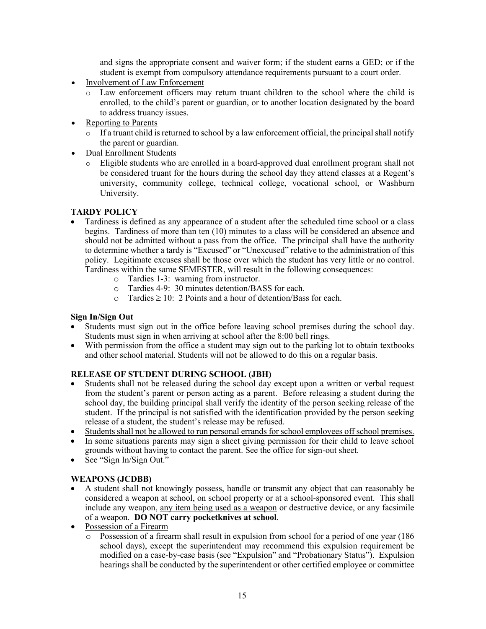and signs the appropriate consent and waiver form; if the student earns a GED; or if the student is exempt from compulsory attendance requirements pursuant to a court order.

- Involvement of Law Enforcement
	- o Law enforcement officers may return truant children to the school where the child is enrolled, to the child's parent or guardian, or to another location designated by the board to address truancy issues.
- Reporting to Parents
	- $\circ$  If a truant child is returned to school by a law enforcement official, the principal shall notify the parent or guardian.
- Dual Enrollment Students
	- o Eligible students who are enrolled in a board-approved dual enrollment program shall not be considered truant for the hours during the school day they attend classes at a Regent's university, community college, technical college, vocational school, or Washburn University.

#### **TARDY POLICY**

- Tardiness is defined as any appearance of a student after the scheduled time school or a class begins. Tardiness of more than ten (10) minutes to a class will be considered an absence and should not be admitted without a pass from the office. The principal shall have the authority to determine whether a tardy is "Excused" or "Unexcused" relative to the administration of this policy. Legitimate excuses shall be those over which the student has very little or no control. Tardiness within the same SEMESTER, will result in the following consequences:
	- o Tardies 1-3: warning from instructor.
	- o Tardies 4-9: 30 minutes detention/BASS for each.
	- $\circ$  Tardies  $\geq 10$ : 2 Points and a hour of detention/Bass for each.

#### **Sign In/Sign Out**

- Students must sign out in the office before leaving school premises during the school day. Students must sign in when arriving at school after the 8:00 bell rings.
- With permission from the office a student may sign out to the parking lot to obtain textbooks and other school material. Students will not be allowed to do this on a regular basis.

#### **RELEASE OF STUDENT DURING SCHOOL (JBH)**

- Students shall not be released during the school day except upon a written or verbal request from the student's parent or person acting as a parent. Before releasing a student during the school day, the building principal shall verify the identity of the person seeking release of the student. If the principal is not satisfied with the identification provided by the person seeking release of a student, the student's release may be refused.
- Students shall not be allowed to run personal errands for school employees off school premises.
- In some situations parents may sign a sheet giving permission for their child to leave school grounds without having to contact the parent. See the office for sign-out sheet.
- See "Sign In/Sign Out."

# **WEAPONS (JCDBB)**

- A student shall not knowingly possess, handle or transmit any object that can reasonably be considered a weapon at school, on school property or at a school-sponsored event. This shall include any weapon, any item being used as a weapon or destructive device, or any facsimile of a weapon. **DO NOT carry pocketknives at school**.
- Possession of a Firearm
	- o Possession of a firearm shall result in expulsion from school for a period of one year (186 school days), except the superintendent may recommend this expulsion requirement be modified on a case-by-case basis (see "Expulsion" and "Probationary Status"). Expulsion hearings shall be conducted by the superintendent or other certified employee or committee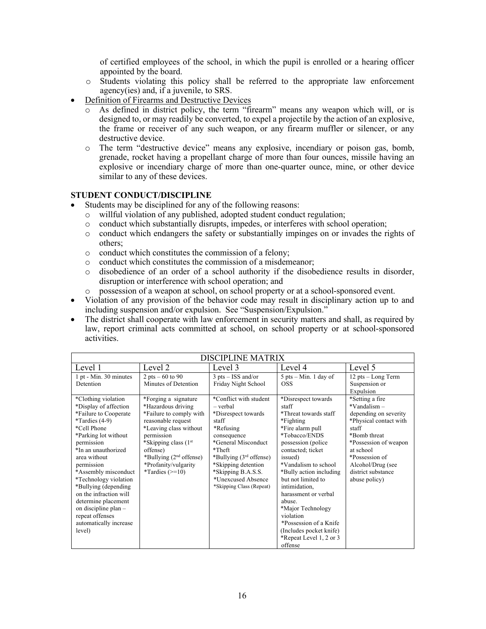of certified employees of the school, in which the pupil is enrolled or a hearing officer appointed by the board.

- o Students violating this policy shall be referred to the appropriate law enforcement agency(ies) and, if a juvenile, to SRS.
- Definition of Firearms and Destructive Devices
	- o As defined in district policy, the term "firearm" means any weapon which will, or is designed to, or may readily be converted, to expel a projectile by the action of an explosive, the frame or receiver of any such weapon, or any firearm muffler or silencer, or any destructive device.
	- o The term "destructive device" means any explosive, incendiary or poison gas, bomb, grenade, rocket having a propellant charge of more than four ounces, missile having an explosive or incendiary charge of more than one-quarter ounce, mine, or other device similar to any of these devices.

#### **STUDENT CONDUCT/DISCIPLINE**

- Students may be disciplined for any of the following reasons:
	- o willful violation of any published, adopted student conduct regulation;
	- $\circ$  conduct which substantially disrupts, impedes, or interferes with school operation;
	- o conduct which endangers the safety or substantially impinges on or invades the rights of others;
	- o conduct which constitutes the commission of a felony;
	- o conduct which constitutes the commission of a misdemeanor;
	- o disobedience of an order of a school authority if the disobedience results in disorder, disruption or interference with school operation; and
	- o possession of a weapon at school, on school property or at a school-sponsored event.
- Violation of any provision of the behavior code may result in disciplinary action up to and including suspension and/or expulsion. See "Suspension/Expulsion."
- The district shall cooperate with law enforcement in security matters and shall, as required by law, report criminal acts committed at school, on school property or at school-sponsored activities.

| <b>DISCIPLINE MATRIX</b>                                                                                                                                                                                                                                                                                                                                                                                     |                                                                                                                                                                                                                                                                 |                                                                                                                                                                                                                                                               |                                                                                                                                                                                                                                                                                                                                                                                                                         |                                                                                                                                                                                                                                    |
|--------------------------------------------------------------------------------------------------------------------------------------------------------------------------------------------------------------------------------------------------------------------------------------------------------------------------------------------------------------------------------------------------------------|-----------------------------------------------------------------------------------------------------------------------------------------------------------------------------------------------------------------------------------------------------------------|---------------------------------------------------------------------------------------------------------------------------------------------------------------------------------------------------------------------------------------------------------------|-------------------------------------------------------------------------------------------------------------------------------------------------------------------------------------------------------------------------------------------------------------------------------------------------------------------------------------------------------------------------------------------------------------------------|------------------------------------------------------------------------------------------------------------------------------------------------------------------------------------------------------------------------------------|
| Level 1                                                                                                                                                                                                                                                                                                                                                                                                      | Level 2                                                                                                                                                                                                                                                         | Level 3                                                                                                                                                                                                                                                       | Level 4                                                                                                                                                                                                                                                                                                                                                                                                                 | Level 5                                                                                                                                                                                                                            |
| 1 pt - Min. 30 minutes<br>Detention                                                                                                                                                                                                                                                                                                                                                                          | 2 pts $-60$ to 90<br>Minutes of Detention                                                                                                                                                                                                                       | $3$ pts – ISS and/or<br>Friday Night School                                                                                                                                                                                                                   | $5$ pts – Min. 1 day of<br><b>OSS</b>                                                                                                                                                                                                                                                                                                                                                                                   | 12 pts – Long Term<br>Suspension or<br>Expulsion                                                                                                                                                                                   |
| *Clothing violation<br>*Display of affection<br>*Failure to Cooperate<br>*Tardies $(4-9)$<br>*Cell Phone<br>*Parking lot without<br>permission<br>*In an unauthorized<br>area without<br>permission<br>*Assembly misconduct<br>*Technology violation<br>*Bullying (depending<br>on the infraction will<br>determine placement<br>on discipline plan –<br>repeat offenses<br>automatically increase<br>level) | *Forging a signature<br>*Hazardous driving<br>*Failure to comply with<br>reasonable request<br>*Leaving class without<br>permission<br>*Skipping class (1 <sup>st</sup> )<br>offense)<br>*Bullying $(2nd$ offense)<br>*Profanity/vulgarity<br>*Tardies $(>=10)$ | *Conflict with student<br>$-$ verbal<br>*Disrespect towards<br>staff<br>*Refusing<br>consequence<br>*General Misconduct<br>*Theft<br>*Bullying $(3rd$ offense)<br>*Skipping detention<br>*Skipping B.A.S.S.<br>*Unexcused Absence<br>*Skipping Class (Repeat) | *Disrespect towards<br>staff<br>*Threat towards staff<br>*Fighting<br>*Fire alarm pull<br>*Tobacco/ENDS<br>possession (police)<br>contacted; ticket<br>issued)<br>*Vandalism to school<br>*Bully action including<br>but not limited to<br>intimidation,<br>harassment or verbal<br>abuse.<br>*Major Technology<br>violation<br>*Possession of a Knife<br>(Includes pocket knife)<br>*Repeat Level 1, 2 or 3<br>offense | *Setting a fire<br>$*V$ andalism –<br>depending on severity<br>*Physical contact with<br>staff<br>*Bomb threat<br>*Possession of weapon<br>at school<br>*Possession of<br>Alcohol/Drug (see<br>district substance<br>abuse policy) |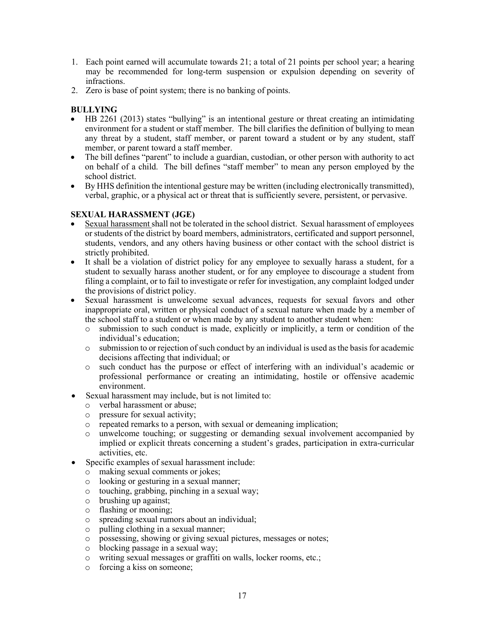- 1. Each point earned will accumulate towards 21; a total of 21 points per school year; a hearing may be recommended for long-term suspension or expulsion depending on severity of infractions.
- 2. Zero is base of point system; there is no banking of points.

# **BULLYING**

- HB 2261 (2013) states "bullying" is an intentional gesture or threat creating an intimidating environment for a student or staff member. The bill clarifies the definition of bullying to mean any threat by a student, staff member, or parent toward a student or by any student, staff member, or parent toward a staff member.
- The bill defines "parent" to include a guardian, custodian, or other person with authority to act on behalf of a child. The bill defines "staff member" to mean any person employed by the school district.
- By HHS definition the intentional gesture may be written (including electronically transmitted), verbal, graphic, or a physical act or threat that is sufficiently severe, persistent, or pervasive.

## **SEXUAL HARASSMENT (JGE)**

- Sexual harassment shall not be tolerated in the school district. Sexual harassment of employees or students of the district by board members, administrators, certificated and support personnel, students, vendors, and any others having business or other contact with the school district is strictly prohibited.
- It shall be a violation of district policy for any employee to sexually harass a student, for a student to sexually harass another student, or for any employee to discourage a student from filing a complaint, or to fail to investigate or refer for investigation, any complaint lodged under the provisions of district policy.
- Sexual harassment is unwelcome sexual advances, requests for sexual favors and other inappropriate oral, written or physical conduct of a sexual nature when made by a member of the school staff to a student or when made by any student to another student when:
	- o submission to such conduct is made, explicitly or implicitly, a term or condition of the individual's education;
	- o submission to or rejection of such conduct by an individual is used as the basis for academic decisions affecting that individual; or
	- o such conduct has the purpose or effect of interfering with an individual's academic or professional performance or creating an intimidating, hostile or offensive academic environment.
- Sexual harassment may include, but is not limited to:
	- o verbal harassment or abuse;
	- o pressure for sexual activity;
	- o repeated remarks to a person, with sexual or demeaning implication;
	- o unwelcome touching; or suggesting or demanding sexual involvement accompanied by implied or explicit threats concerning a student's grades, participation in extra-curricular activities, etc.
- Specific examples of sexual harassment include:
	- o making sexual comments or jokes;
	- o looking or gesturing in a sexual manner;
	- o touching, grabbing, pinching in a sexual way;
	- o brushing up against;
	- o flashing or mooning;
	- o spreading sexual rumors about an individual;
	- o pulling clothing in a sexual manner;
	- o possessing, showing or giving sexual pictures, messages or notes;
	- o blocking passage in a sexual way;
	- o writing sexual messages or graffiti on walls, locker rooms, etc.;
	- o forcing a kiss on someone;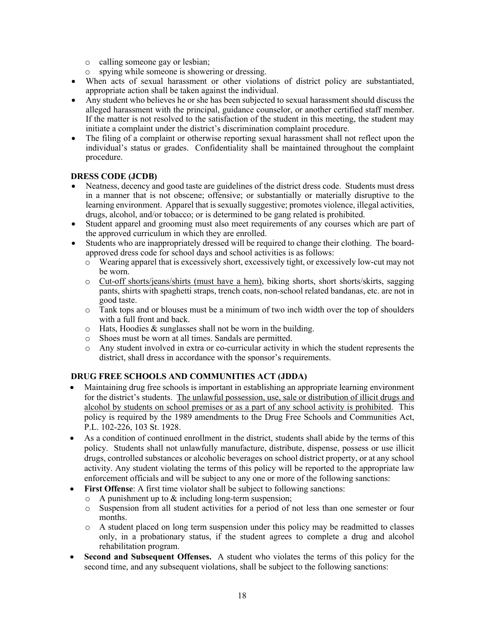- o calling someone gay or lesbian;
- o spying while someone is showering or dressing.
- When acts of sexual harassment or other violations of district policy are substantiated, appropriate action shall be taken against the individual.
- Any student who believes he or she has been subjected to sexual harassment should discuss the alleged harassment with the principal, guidance counselor, or another certified staff member. If the matter is not resolved to the satisfaction of the student in this meeting, the student may initiate a complaint under the district's discrimination complaint procedure.
- The filing of a complaint or otherwise reporting sexual harassment shall not reflect upon the individual's status or grades. Confidentiality shall be maintained throughout the complaint procedure.

## **DRESS CODE (JCDB)**

- Neatness, decency and good taste are guidelines of the district dress code. Students must dress in a manner that is not obscene; offensive; or substantially or materially disruptive to the learning environment. Apparel that is sexually suggestive; promotes violence, illegal activities, drugs, alcohol, and/or tobacco; or is determined to be gang related is prohibited.
- Student apparel and grooming must also meet requirements of any courses which are part of the approved curriculum in which they are enrolled.
- Students who are inappropriately dressed will be required to change their clothing. The boardapproved dress code for school days and school activities is as follows:
	- o Wearing apparel that is excessively short, excessively tight, or excessively low-cut may not be worn.
	- o Cut-off shorts/jeans/shirts (must have a hem), biking shorts, short shorts/skirts, sagging pants, shirts with spaghetti straps, trench coats, non-school related bandanas, etc. are not in good taste.
	- $\circ$  Tank tops and or blouses must be a minimum of two inch width over the top of shoulders with a full front and back.
	- o Hats, Hoodies & sunglasses shall not be worn in the building.
	- o Shoes must be worn at all times. Sandals are permitted.
	- o Any student involved in extra or co-curricular activity in which the student represents the district, shall dress in accordance with the sponsor's requirements.

#### **DRUG FREE SCHOOLS AND COMMUNITIES ACT (JDDA)**

- Maintaining drug free schools is important in establishing an appropriate learning environment for the district's students. The unlawful possession, use, sale or distribution of illicit drugs and alcohol by students on school premises or as a part of any school activity is prohibited. This policy is required by the 1989 amendments to the Drug Free Schools and Communities Act, P.L. 102-226, 103 St. 1928.
- As a condition of continued enrollment in the district, students shall abide by the terms of this policy. Students shall not unlawfully manufacture, distribute, dispense, possess or use illicit drugs, controlled substances or alcoholic beverages on school district property, or at any school activity. Any student violating the terms of this policy will be reported to the appropriate law enforcement officials and will be subject to any one or more of the following sanctions:
- **First Offense**: A first time violator shall be subject to following sanctions:
	- o A punishment up to & including long-term suspension;
	- o Suspension from all student activities for a period of not less than one semester or four months.
	- o A student placed on long term suspension under this policy may be readmitted to classes only, in a probationary status, if the student agrees to complete a drug and alcohol rehabilitation program.
- **Second and Subsequent Offenses.** A student who violates the terms of this policy for the second time, and any subsequent violations, shall be subject to the following sanctions: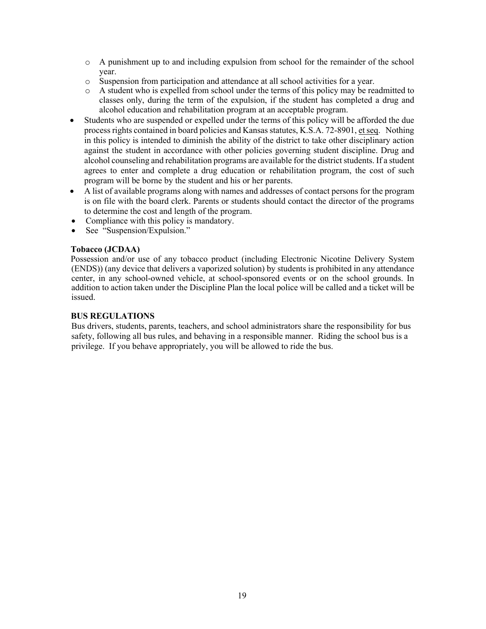- o A punishment up to and including expulsion from school for the remainder of the school year.
- o Suspension from participation and attendance at all school activities for a year.
- o A student who is expelled from school under the terms of this policy may be readmitted to classes only, during the term of the expulsion, if the student has completed a drug and alcohol education and rehabilitation program at an acceptable program.
- Students who are suspended or expelled under the terms of this policy will be afforded the due process rights contained in board policies and Kansas statutes, K.S.A. 72-8901, et seq. Nothing in this policy is intended to diminish the ability of the district to take other disciplinary action against the student in accordance with other policies governing student discipline. Drug and alcohol counseling and rehabilitation programs are available for the district students. If a student agrees to enter and complete a drug education or rehabilitation program, the cost of such program will be borne by the student and his or her parents.
- A list of available programs along with names and addresses of contact persons for the program is on file with the board clerk. Parents or students should contact the director of the programs to determine the cost and length of the program.
- Compliance with this policy is mandatory.
- See "Suspension/Expulsion."

#### **Tobacco (JCDAA)**

Possession and/or use of any tobacco product (including Electronic Nicotine Delivery System (ENDS)) (any device that delivers a vaporized solution) by students is prohibited in any attendance center, in any school-owned vehicle, at school-sponsored events or on the school grounds. In addition to action taken under the Discipline Plan the local police will be called and a ticket will be issued.

#### **BUS REGULATIONS**

Bus drivers, students, parents, teachers, and school administrators share the responsibility for bus safety, following all bus rules, and behaving in a responsible manner. Riding the school bus is a privilege. If you behave appropriately, you will be allowed to ride the bus.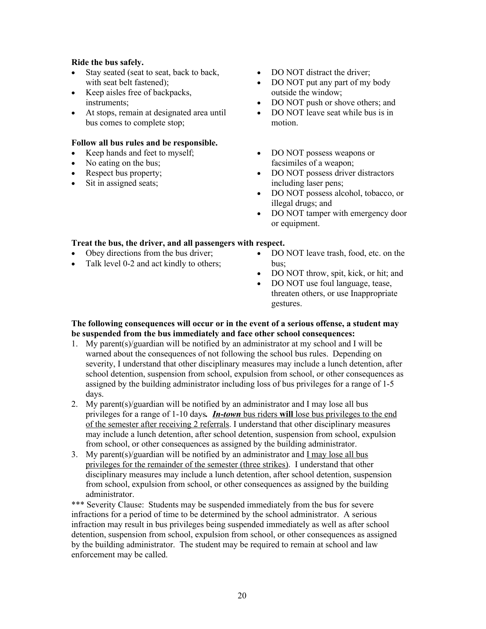#### **Ride the bus safely.**

- Stay seated (seat to seat, back to back, with seat belt fastened);
- Keep aisles free of backpacks, instruments;
- At stops, remain at designated area until bus comes to complete stop;

#### **Follow all bus rules and be responsible.**

- Keep hands and feet to myself;
- No eating on the bus:
- Respect bus property;
- Sit in assigned seats;
- DO NOT distract the driver:
- DO NOT put any part of my body outside the window;
- DO NOT push or shove others; and
- DO NOT leave seat while bus is in motion.
- DO NOT possess weapons or facsimiles of a weapon;
- DO NOT possess driver distractors including laser pens;
- DO NOT possess alcohol, tobacco, or illegal drugs; and
- DO NOT tamper with emergency door or equipment.

# **Treat the bus, the driver, and all passengers with respect.**

- Obey directions from the bus driver;
- Talk level 0-2 and act kindly to others;
- DO NOT leave trash, food, etc. on the bus;
- DO NOT throw, spit, kick, or hit; and
- DO NOT use foul language, tease, threaten others, or use Inappropriate gestures.

# **The following consequences will occur or in the event of a serious offense, a student may be suspended from the bus immediately and face other school consequences:**

- 1. My parent(s)/guardian will be notified by an administrator at my school and I will be warned about the consequences of not following the school bus rules. Depending on severity, I understand that other disciplinary measures may include a lunch detention, after school detention, suspension from school, expulsion from school, or other consequences as assigned by the building administrator including loss of bus privileges for a range of 1-5 days.
- 2. My parent(s)/guardian will be notified by an administrator and I may lose all bus privileges for a range of 1-10 days*. In-town* bus riders **will** lose bus privileges to the end of the semester after receiving 2 referrals. I understand that other disciplinary measures may include a lunch detention, after school detention, suspension from school, expulsion from school, or other consequences as assigned by the building administrator.
- 3. My parent(s)/guardian will be notified by an administrator and I may lose all bus privileges for the remainder of the semester (three strikes). I understand that other disciplinary measures may include a lunch detention, after school detention, suspension from school, expulsion from school, or other consequences as assigned by the building administrator.

\*\*\* Severity Clause: Students may be suspended immediately from the bus for severe infractions for a period of time to be determined by the school administrator. A serious infraction may result in bus privileges being suspended immediately as well as after school detention, suspension from school, expulsion from school, or other consequences as assigned by the building administrator. The student may be required to remain at school and law enforcement may be called.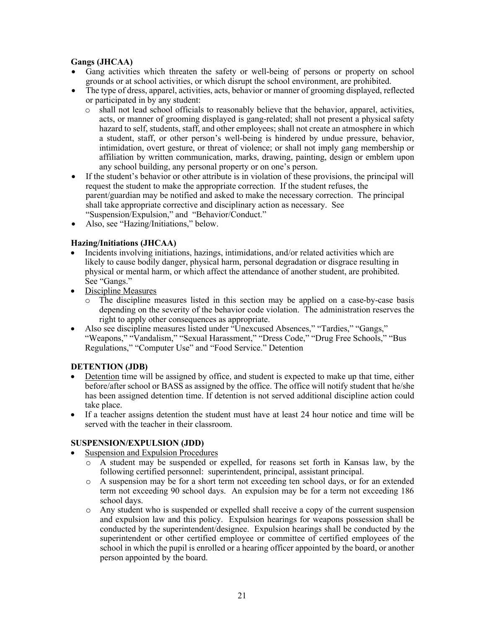# **Gangs (JHCAA)**

- Gang activities which threaten the safety or well-being of persons or property on school grounds or at school activities, or which disrupt the school environment, are prohibited.
- The type of dress, apparel, activities, acts, behavior or manner of grooming displayed, reflected or participated in by any student:
	- o shall not lead school officials to reasonably believe that the behavior, apparel, activities, acts, or manner of grooming displayed is gang-related; shall not present a physical safety hazard to self, students, staff, and other employees; shall not create an atmosphere in which a student, staff, or other person's well-being is hindered by undue pressure, behavior, intimidation, overt gesture, or threat of violence; or shall not imply gang membership or affiliation by written communication, marks, drawing, painting, design or emblem upon any school building, any personal property or on one's person.
- If the student's behavior or other attribute is in violation of these provisions, the principal will request the student to make the appropriate correction. If the student refuses, the parent/guardian may be notified and asked to make the necessary correction. The principal shall take appropriate corrective and disciplinary action as necessary. See "Suspension/Expulsion," and "Behavior/Conduct."
- Also, see "Hazing/Initiations," below.

## **Hazing/Initiations (JHCAA)**

- Incidents involving initiations, hazings, intimidations, and/or related activities which are likely to cause bodily danger, physical harm, personal degradation or disgrace resulting in physical or mental harm, or which affect the attendance of another student, are prohibited. See "Gangs."
- Discipline Measures
	- o The discipline measures listed in this section may be applied on a case-by-case basis depending on the severity of the behavior code violation. The administration reserves the right to apply other consequences as appropriate.
- Also see discipline measures listed under "Unexcused Absences," "Tardies," "Gangs," "Weapons," "Vandalism," "Sexual Harassment," "Dress Code," "Drug Free Schools," "Bus Regulations," "Computer Use" and "Food Service." Detention

# **DETENTION (JDB)**

- Detention time will be assigned by office, and student is expected to make up that time, either before/after school or BASS as assigned by the office. The office will notify student that he/she has been assigned detention time. If detention is not served additional discipline action could take place.
- If a teacher assigns detention the student must have at least 24 hour notice and time will be served with the teacher in their classroom.

#### **SUSPENSION/EXPULSION (JDD)**

- Suspension and Expulsion Procedures
	- o A student may be suspended or expelled, for reasons set forth in Kansas law, by the following certified personnel: superintendent, principal, assistant principal.
	- o A suspension may be for a short term not exceeding ten school days, or for an extended term not exceeding 90 school days. An expulsion may be for a term not exceeding 186 school days.
	- o Any student who is suspended or expelled shall receive a copy of the current suspension and expulsion law and this policy. Expulsion hearings for weapons possession shall be conducted by the superintendent/designee. Expulsion hearings shall be conducted by the superintendent or other certified employee or committee of certified employees of the school in which the pupil is enrolled or a hearing officer appointed by the board, or another person appointed by the board.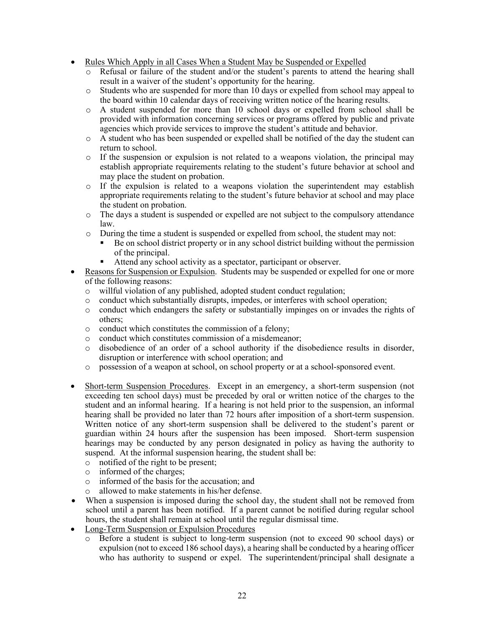- Rules Which Apply in all Cases When a Student May be Suspended or Expelled
	- o Refusal or failure of the student and/or the student's parents to attend the hearing shall result in a waiver of the student's opportunity for the hearing.
	- o Students who are suspended for more than 10 days or expelled from school may appeal to the board within 10 calendar days of receiving written notice of the hearing results.
	- o A student suspended for more than 10 school days or expelled from school shall be provided with information concerning services or programs offered by public and private agencies which provide services to improve the student's attitude and behavior.
	- o A student who has been suspended or expelled shall be notified of the day the student can return to school.
	- $\circ$  If the suspension or expulsion is not related to a weapons violation, the principal may establish appropriate requirements relating to the student's future behavior at school and may place the student on probation.
	- o If the expulsion is related to a weapons violation the superintendent may establish appropriate requirements relating to the student's future behavior at school and may place the student on probation.
	- o The days a student is suspended or expelled are not subject to the compulsory attendance law.
	- o During the time a student is suspended or expelled from school, the student may not:
		- Be on school district property or in any school district building without the permission of the principal.
		- Attend any school activity as a spectator, participant or observer.
- Reasons for Suspension or Expulsion. Students may be suspended or expelled for one or more of the following reasons:
	- o willful violation of any published, adopted student conduct regulation;
	- o conduct which substantially disrupts, impedes, or interferes with school operation;
	- o conduct which endangers the safety or substantially impinges on or invades the rights of others;
	- o conduct which constitutes the commission of a felony;
	- o conduct which constitutes commission of a misdemeanor;
	- o disobedience of an order of a school authority if the disobedience results in disorder, disruption or interference with school operation; and
	- o possession of a weapon at school, on school property or at a school-sponsored event.
- Short-term Suspension Procedures. Except in an emergency, a short-term suspension (not exceeding ten school days) must be preceded by oral or written notice of the charges to the student and an informal hearing. If a hearing is not held prior to the suspension, an informal hearing shall be provided no later than 72 hours after imposition of a short-term suspension. Written notice of any short-term suspension shall be delivered to the student's parent or guardian within 24 hours after the suspension has been imposed. Short-term suspension hearings may be conducted by any person designated in policy as having the authority to suspend. At the informal suspension hearing, the student shall be:
	- o notified of the right to be present;
	- o informed of the charges;
	- o informed of the basis for the accusation; and
	- allowed to make statements in his/her defense.
- When a suspension is imposed during the school day, the student shall not be removed from school until a parent has been notified. If a parent cannot be notified during regular school hours, the student shall remain at school until the regular dismissal time.
- Long-Term Suspension or Expulsion Procedures
	- o Before a student is subject to long-term suspension (not to exceed 90 school days) or expulsion (not to exceed 186 school days), a hearing shall be conducted by a hearing officer who has authority to suspend or expel. The superintendent/principal shall designate a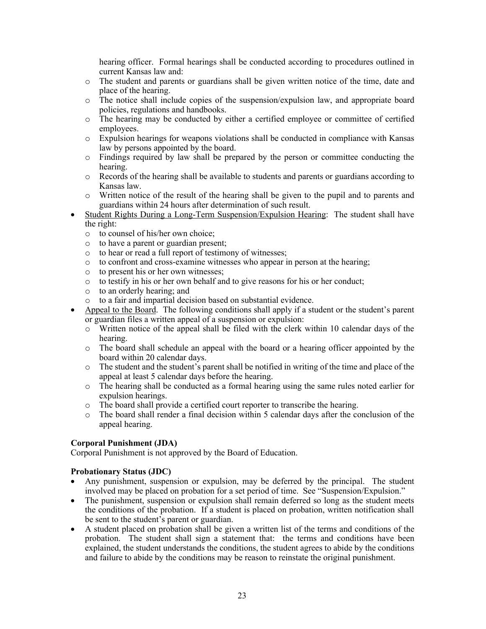hearing officer. Formal hearings shall be conducted according to procedures outlined in current Kansas law and:

- o The student and parents or guardians shall be given written notice of the time, date and place of the hearing.
- o The notice shall include copies of the suspension/expulsion law, and appropriate board policies, regulations and handbooks.
- o The hearing may be conducted by either a certified employee or committee of certified employees.
- o Expulsion hearings for weapons violations shall be conducted in compliance with Kansas law by persons appointed by the board.
- o Findings required by law shall be prepared by the person or committee conducting the hearing.
- o Records of the hearing shall be available to students and parents or guardians according to Kansas law.
- o Written notice of the result of the hearing shall be given to the pupil and to parents and guardians within 24 hours after determination of such result.
- Student Rights During a Long-Term Suspension/Expulsion Hearing: The student shall have the right:
	- o to counsel of his/her own choice;
	- o to have a parent or guardian present;
	- o to hear or read a full report of testimony of witnesses;
	- o to confront and cross-examine witnesses who appear in person at the hearing;
	- o to present his or her own witnesses;
	- o to testify in his or her own behalf and to give reasons for his or her conduct;
	- o to an orderly hearing; and
	- o to a fair and impartial decision based on substantial evidence.
- Appeal to the Board. The following conditions shall apply if a student or the student's parent or guardian files a written appeal of a suspension or expulsion:
	- $\circ$  Written notice of the appeal shall be filed with the clerk within 10 calendar days of the hearing.
	- o The board shall schedule an appeal with the board or a hearing officer appointed by the board within 20 calendar days.
	- o The student and the student's parent shall be notified in writing of the time and place of the appeal at least 5 calendar days before the hearing.
	- o The hearing shall be conducted as a formal hearing using the same rules noted earlier for expulsion hearings.
	- o The board shall provide a certified court reporter to transcribe the hearing.
	- o The board shall render a final decision within 5 calendar days after the conclusion of the appeal hearing.

#### **Corporal Punishment (JDA)**

Corporal Punishment is not approved by the Board of Education.

#### **Probationary Status (JDC)**

- Any punishment, suspension or expulsion, may be deferred by the principal. The student involved may be placed on probation for a set period of time. See "Suspension/Expulsion."
- The punishment, suspension or expulsion shall remain deferred so long as the student meets the conditions of the probation. If a student is placed on probation, written notification shall be sent to the student's parent or guardian.
- A student placed on probation shall be given a written list of the terms and conditions of the probation. The student shall sign a statement that: the terms and conditions have been explained, the student understands the conditions, the student agrees to abide by the conditions and failure to abide by the conditions may be reason to reinstate the original punishment.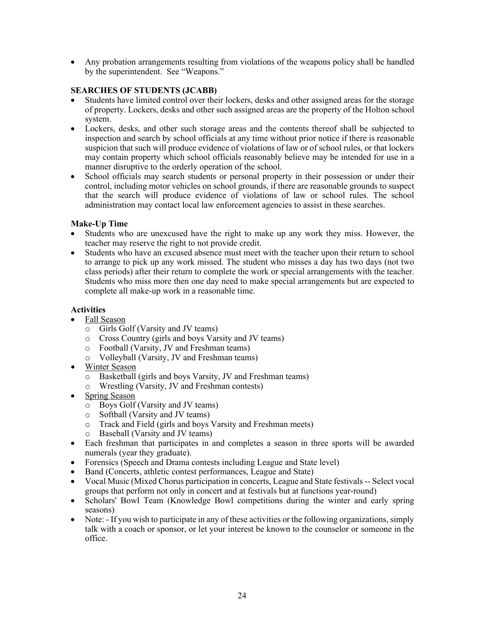• Any probation arrangements resulting from violations of the weapons policy shall be handled by the superintendent. See "Weapons."

# **SEARCHES OF STUDENTS (JCABB)**

- Students have limited control over their lockers, desks and other assigned areas for the storage of property. Lockers, desks and other such assigned areas are the property of the Holton school system.
- Lockers, desks, and other such storage areas and the contents thereof shall be subjected to inspection and search by school officials at any time without prior notice if there is reasonable suspicion that such will produce evidence of violations of law or of school rules, or that lockers may contain property which school officials reasonably believe may be intended for use in a manner disruptive to the orderly operation of the school.
- School officials may search students or personal property in their possession or under their control, including motor vehicles on school grounds, if there are reasonable grounds to suspect that the search will produce evidence of violations of law or school rules. The school administration may contact local law enforcement agencies to assist in these searches.

## **Make-Up Time**

- Students who are unexcused have the right to make up any work they miss. However, the teacher may reserve the right to not provide credit.
- Students who have an excused absence must meet with the teacher upon their return to school to arrange to pick up any work missed. The student who misses a day has two days (not two class periods) after their return to complete the work or special arrangements with the teacher. Students who miss more then one day need to make special arrangements but are expected to complete all make-up work in a reasonable time.

# **Activities**

- Fall Season
	- o Girls Golf (Varsity and JV teams)
	- o Cross Country (girls and boys Varsity and JV teams)
	- o Football (Varsity, JV and Freshman teams)
	- o Volleyball (Varsity, JV and Freshman teams)
- Winter Season
	- o Basketball (girls and boys Varsity, JV and Freshman teams)
	- o Wrestling (Varsity, JV and Freshman contests)
- Spring Season
	- o Boys Golf (Varsity and JV teams)
	- o Softball (Varsity and JV teams)
	- o Track and Field (girls and boys Varsity and Freshman meets)
	- o Baseball (Varsity and JV teams)
- Each freshman that participates in and completes a season in three sports will be awarded numerals (year they graduate).
- Forensics (Speech and Drama contests including League and State level)
- Band (Concerts, athletic contest performances, League and State)
- Vocal Music (Mixed Chorus participation in concerts, League and State festivals -- Select vocal groups that perform not only in concert and at festivals but at functions year-round)
- Scholars' Bowl Team (Knowledge Bowl competitions during the winter and early spring seasons)
- Note: If you wish to participate in any of these activities or the following organizations, simply talk with a coach or sponsor, or let your interest be known to the counselor or someone in the office.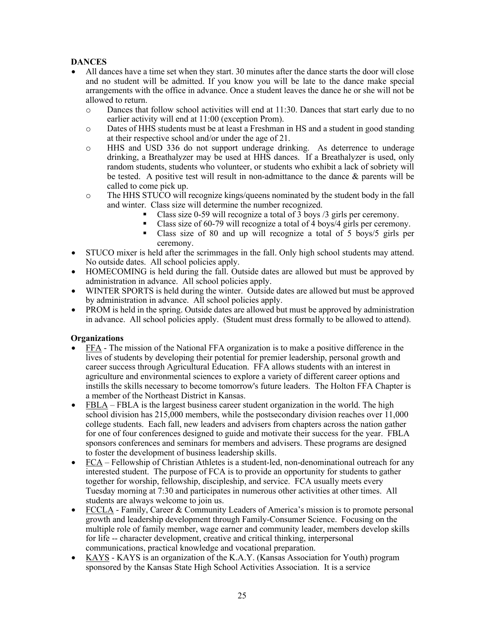# **DANCES**

- All dances have a time set when they start. 30 minutes after the dance starts the door will close and no student will be admitted. If you know you will be late to the dance make special arrangements with the office in advance. Once a student leaves the dance he or she will not be allowed to return.
	- o Dances that follow school activities will end at 11:30. Dances that start early due to no earlier activity will end at 11:00 (exception Prom).
	- o Dates of HHS students must be at least a Freshman in HS and a student in good standing at their respective school and/or under the age of 21.
	- o HHS and USD 336 do not support underage drinking. As deterrence to underage drinking, a Breathalyzer may be used at HHS dances. If a Breathalyzer is used, only random students, students who volunteer, or students who exhibit a lack of sobriety will be tested. A positive test will result in non-admittance to the dance & parents will be called to come pick up.
	- o The HHS STUCO will recognize kings/queens nominated by the student body in the fall and winter. Class size will determine the number recognized.
		- Class size 0-59 will recognize a total of  $\overline{3}$  boys  $\overline{3}$  girls per ceremony.
		- Class size of 60-79 will recognize a total of 4 boys/4 girls per ceremony.
		- § Class size of 80 and up will recognize a total of 5 boys/5 girls per ceremony.
- STUCO mixer is held after the scrimmages in the fall. Only high school students may attend. No outside dates. All school policies apply.
- HOMECOMING is held during the fall. Outside dates are allowed but must be approved by administration in advance. All school policies apply.
- WINTER SPORTS is held during the winter. Outside dates are allowed but must be approved by administration in advance. All school policies apply.
- PROM is held in the spring. Outside dates are allowed but must be approved by administration in advance. All school policies apply. (Student must dress formally to be allowed to attend).

# **Organizations**

- FFA The mission of the National FFA organization is to make a positive difference in the lives of students by developing their potential for premier leadership, personal growth and career success through Agricultural Education. FFA allows students with an interest in agriculture and environmental sciences to explore a variety of different career options and instills the skills necessary to become tomorrow's future leaders. The Holton FFA Chapter is a member of the Northeast District in Kansas.
- $FBLA FBLA is the largest business career student organization in the world. The high$ </u> school division has 215,000 members, while the postsecondary division reaches over 11,000 college students. Each fall, new leaders and advisers from chapters across the nation gather for one of four conferences designed to guide and motivate their success for the year. FBLA sponsors conferences and seminars for members and advisers. These programs are designed to foster the development of business leadership skills.
- $\overline{FCA}$  Fellowship of Christian Athletes is a student-led, non-denominational outreach for any interested student. The purpose of FCA is to provide an opportunity for students to gather together for worship, fellowship, discipleship, and service. FCA usually meets every Tuesday morning at 7:30 and participates in numerous other activities at other times. All students are always welcome to join us.
- FCCLA Family, Career & Community Leaders of America's mission is to promote personal growth and leadership development through Family-Consumer Science. Focusing on the multiple role of family member, wage earner and community leader, members develop skills for life -- character development, creative and critical thinking, interpersonal communications, practical knowledge and vocational preparation.
- KAYS KAYS is an organization of the K.A.Y. (Kansas Association for Youth) program sponsored by the Kansas State High School Activities Association. It is a service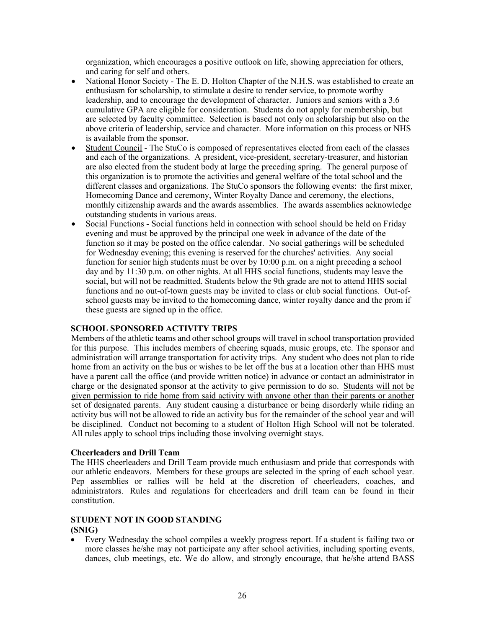organization, which encourages a positive outlook on life, showing appreciation for others, and caring for self and others.

- National Honor Society The E. D. Holton Chapter of the N.H.S. was established to create an enthusiasm for scholarship, to stimulate a desire to render service, to promote worthy leadership, and to encourage the development of character. Juniors and seniors with a 3.6 cumulative GPA are eligible for consideration. Students do not apply for membership, but are selected by faculty committee. Selection is based not only on scholarship but also on the above criteria of leadership, service and character. More information on this process or NHS is available from the sponsor.
- Student Council The StuCo is composed of representatives elected from each of the classes and each of the organizations. A president, vice-president, secretary-treasurer, and historian are also elected from the student body at large the preceding spring. The general purpose of this organization is to promote the activities and general welfare of the total school and the different classes and organizations. The StuCo sponsors the following events: the first mixer, Homecoming Dance and ceremony, Winter Royalty Dance and ceremony, the elections, monthly citizenship awards and the awards assemblies. The awards assemblies acknowledge outstanding students in various areas.
- Social Functions Social functions held in connection with school should be held on Friday evening and must be approved by the principal one week in advance of the date of the function so it may be posted on the office calendar. No social gatherings will be scheduled for Wednesday evening; this evening is reserved for the churches' activities. Any social function for senior high students must be over by 10:00 p.m. on a night preceding a school day and by 11:30 p.m. on other nights. At all HHS social functions, students may leave the social, but will not be readmitted. Students below the 9th grade are not to attend HHS social functions and no out-of-town guests may be invited to class or club social functions. Out-ofschool guests may be invited to the homecoming dance, winter royalty dance and the prom if these guests are signed up in the office.

#### **SCHOOL SPONSORED ACTIVITY TRIPS**

Members of the athletic teams and other school groups will travel in school transportation provided for this purpose. This includes members of cheering squads, music groups, etc. The sponsor and administration will arrange transportation for activity trips. Any student who does not plan to ride home from an activity on the bus or wishes to be let off the bus at a location other than HHS must have a parent call the office (and provide written notice) in advance or contact an administrator in charge or the designated sponsor at the activity to give permission to do so. Students will not be given permission to ride home from said activity with anyone other than their parents or another set of designated parents. Any student causing a disturbance or being disorderly while riding an activity bus will not be allowed to ride an activity bus for the remainder of the school year and will be disciplined. Conduct not becoming to a student of Holton High School will not be tolerated. All rules apply to school trips including those involving overnight stays.

#### **Cheerleaders and Drill Team**

The HHS cheerleaders and Drill Team provide much enthusiasm and pride that corresponds with our athletic endeavors. Members for these groups are selected in the spring of each school year. Pep assemblies or rallies will be held at the discretion of cheerleaders, coaches, and administrators. Rules and regulations for cheerleaders and drill team can be found in their constitution.

#### **STUDENT NOT IN GOOD STANDING (SNIG)**

• Every Wednesday the school compiles a weekly progress report. If a student is failing two or more classes he/she may not participate any after school activities, including sporting events, dances, club meetings, etc. We do allow, and strongly encourage, that he/she attend BASS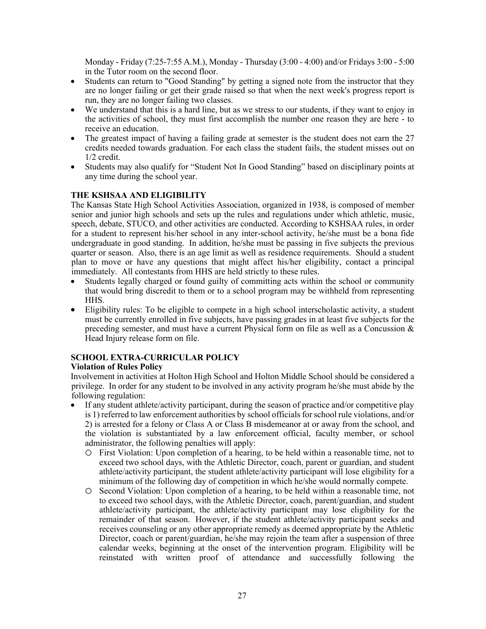Monday - Friday (7:25-7:55 A.M.), Monday - Thursday (3:00 - 4:00) and/or Fridays 3:00 - 5:00 in the Tutor room on the second floor.

- Students can return to "Good Standing" by getting a signed note from the instructor that they are no longer failing or get their grade raised so that when the next week's progress report is run, they are no longer failing two classes.
- We understand that this is a hard line, but as we stress to our students, if they want to enjoy in the activities of school, they must first accomplish the number one reason they are here - to receive an education.
- The greatest impact of having a failing grade at semester is the student does not earn the 27 credits needed towards graduation. For each class the student fails, the student misses out on 1/2 credit.
- Students may also qualify for "Student Not In Good Standing" based on disciplinary points at any time during the school year.

## **THE KSHSAA AND ELIGIBILITY**

The Kansas State High School Activities Association, organized in 1938, is composed of member senior and junior high schools and sets up the rules and regulations under which athletic, music, speech, debate, STUCO, and other activities are conducted. According to KSHSAA rules, in order for a student to represent his/her school in any inter-school activity, he/she must be a bona fide undergraduate in good standing. In addition, he/she must be passing in five subjects the previous quarter or season. Also, there is an age limit as well as residence requirements. Should a student plan to move or have any questions that might affect his/her eligibility, contact a principal immediately. All contestants from HHS are held strictly to these rules.

- Students legally charged or found guilty of committing acts within the school or community that would bring discredit to them or to a school program may be withheld from representing HHS.
- Eligibility rules: To be eligible to compete in a high school interscholastic activity, a student must be currently enrolled in five subjects, have passing grades in at least five subjects for the preceding semester, and must have a current Physical form on file as well as a Concussion & Head Injury release form on file.

#### **SCHOOL EXTRA-CURRICULAR POLICY**

#### **Violation of Rules Policy**

Involvement in activities at Holton High School and Holton Middle School should be considered a privilege. In order for any student to be involved in any activity program he/she must abide by the following regulation:

- If any student athlete/activity participant, during the season of practice and/or competitive play is 1) referred to law enforcement authorities by school officials for school rule violations, and/or 2) is arrested for a felony or Class A or Class B misdemeanor at or away from the school, and the violation is substantiated by a law enforcement official, faculty member, or school administrator, the following penalties will apply:
	- o First Violation: Upon completion of a hearing, to be held within a reasonable time, not to exceed two school days, with the Athletic Director, coach, parent or guardian, and student athlete/activity participant, the student athlete/activity participant will lose eligibility for a minimum of the following day of competition in which he/she would normally compete.
	- o Second Violation: Upon completion of a hearing, to be held within a reasonable time, not to exceed two school days, with the Athletic Director, coach, parent/guardian, and student athlete/activity participant, the athlete/activity participant may lose eligibility for the remainder of that season. However, if the student athlete/activity participant seeks and receives counseling or any other appropriate remedy as deemed appropriate by the Athletic Director, coach or parent/guardian, he/she may rejoin the team after a suspension of three calendar weeks, beginning at the onset of the intervention program. Eligibility will be reinstated with written proof of attendance and successfully following the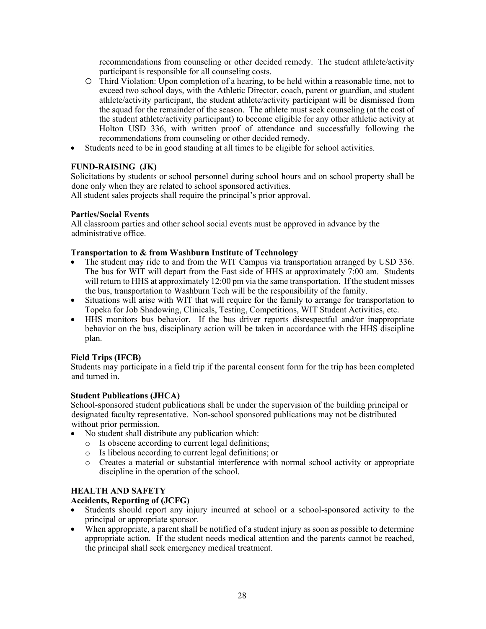recommendations from counseling or other decided remedy. The student athlete/activity participant is responsible for all counseling costs.

- o Third Violation: Upon completion of a hearing, to be held within a reasonable time, not to exceed two school days, with the Athletic Director, coach, parent or guardian, and student athlete/activity participant, the student athlete/activity participant will be dismissed from the squad for the remainder of the season. The athlete must seek counseling (at the cost of the student athlete/activity participant) to become eligible for any other athletic activity at Holton USD 336, with written proof of attendance and successfully following the recommendations from counseling or other decided remedy.
- Students need to be in good standing at all times to be eligible for school activities.

# **FUND-RAISING (JK)**

Solicitations by students or school personnel during school hours and on school property shall be done only when they are related to school sponsored activities.

All student sales projects shall require the principal's prior approval.

## **Parties/Social Events**

All classroom parties and other school social events must be approved in advance by the administrative office.

## **Transportation to & from Washburn Institute of Technology**

- The student may ride to and from the WIT Campus via transportation arranged by USD 336. The bus for WIT will depart from the East side of HHS at approximately 7:00 am. Students will return to HHS at approximately 12:00 pm via the same transportation. If the student misses the bus, transportation to Washburn Tech will be the responsibility of the family.
- Situations will arise with WIT that will require for the family to arrange for transportation to Topeka for Job Shadowing, Clinicals, Testing, Competitions, WIT Student Activities, etc.
- HHS monitors bus behavior. If the bus driver reports disrespectful and/or inappropriate behavior on the bus, disciplinary action will be taken in accordance with the HHS discipline plan.

# **Field Trips (IFCB)**

Students may participate in a field trip if the parental consent form for the trip has been completed and turned in.

#### **Student Publications (JHCA)**

School-sponsored student publications shall be under the supervision of the building principal or designated faculty representative. Non-school sponsored publications may not be distributed without prior permission.

- No student shall distribute any publication which:
	- o Is obscene according to current legal definitions;
	- o Is libelous according to current legal definitions; or
	- o Creates a material or substantial interference with normal school activity or appropriate discipline in the operation of the school.

# **HEALTH AND SAFETY**

#### **Accidents, Reporting of (JCFG)**

- Students should report any injury incurred at school or a school-sponsored activity to the principal or appropriate sponsor.
- When appropriate, a parent shall be notified of a student injury as soon as possible to determine appropriate action. If the student needs medical attention and the parents cannot be reached, the principal shall seek emergency medical treatment.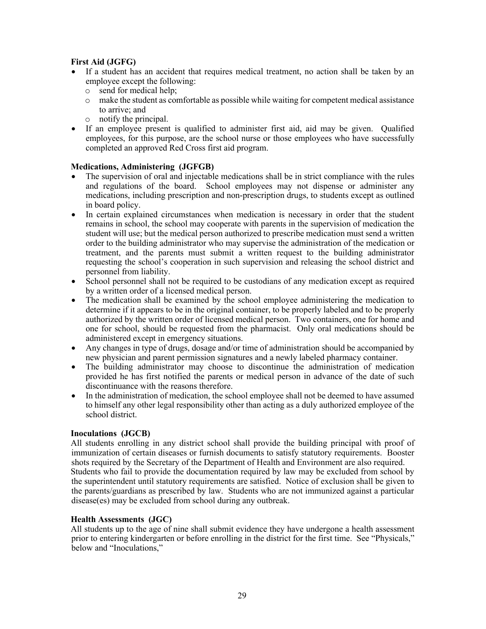### **First Aid (JGFG)**

- If a student has an accident that requires medical treatment, no action shall be taken by an employee except the following:
	- o send for medical help;
	- o make the student as comfortable as possible while waiting for competent medical assistance to arrive; and
	- o notify the principal.
- If an employee present is qualified to administer first aid, aid may be given. Qualified employees, for this purpose, are the school nurse or those employees who have successfully completed an approved Red Cross first aid program.

#### **Medications, Administering (JGFGB)**

- The supervision of oral and injectable medications shall be in strict compliance with the rules and regulations of the board. School employees may not dispense or administer any medications, including prescription and non-prescription drugs, to students except as outlined in board policy.
- In certain explained circumstances when medication is necessary in order that the student remains in school, the school may cooperate with parents in the supervision of medication the student will use; but the medical person authorized to prescribe medication must send a written order to the building administrator who may supervise the administration of the medication or treatment, and the parents must submit a written request to the building administrator requesting the school's cooperation in such supervision and releasing the school district and personnel from liability.
- School personnel shall not be required to be custodians of any medication except as required by a written order of a licensed medical person.
- The medication shall be examined by the school employee administering the medication to determine if it appears to be in the original container, to be properly labeled and to be properly authorized by the written order of licensed medical person. Two containers, one for home and one for school, should be requested from the pharmacist. Only oral medications should be administered except in emergency situations.
- Any changes in type of drugs, dosage and/or time of administration should be accompanied by new physician and parent permission signatures and a newly labeled pharmacy container.
- The building administrator may choose to discontinue the administration of medication provided he has first notified the parents or medical person in advance of the date of such discontinuance with the reasons therefore.
- In the administration of medication, the school employee shall not be deemed to have assumed to himself any other legal responsibility other than acting as a duly authorized employee of the school district.

#### **Inoculations (JGCB)**

All students enrolling in any district school shall provide the building principal with proof of immunization of certain diseases or furnish documents to satisfy statutory requirements. Booster shots required by the Secretary of the Department of Health and Environment are also required. Students who fail to provide the documentation required by law may be excluded from school by the superintendent until statutory requirements are satisfied. Notice of exclusion shall be given to the parents/guardians as prescribed by law. Students who are not immunized against a particular disease(es) may be excluded from school during any outbreak.

#### **Health Assessments (JGC)**

All students up to the age of nine shall submit evidence they have undergone a health assessment prior to entering kindergarten or before enrolling in the district for the first time. See "Physicals," below and "Inoculations,"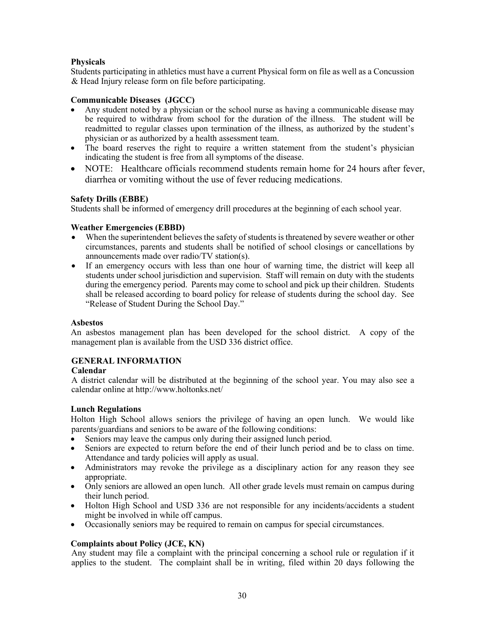### **Physicals**

Students participating in athletics must have a current Physical form on file as well as a Concussion & Head Injury release form on file before participating.

#### **Communicable Diseases (JGCC)**

- Any student noted by a physician or the school nurse as having a communicable disease may be required to withdraw from school for the duration of the illness. The student will be readmitted to regular classes upon termination of the illness, as authorized by the student's physician or as authorized by a health assessment team.
- The board reserves the right to require a written statement from the student's physician indicating the student is free from all symptoms of the disease.
- NOTE: Healthcare officials recommend students remain home for 24 hours after fever, diarrhea or vomiting without the use of fever reducing medications.

#### **Safety Drills (EBBE)**

Students shall be informed of emergency drill procedures at the beginning of each school year.

#### **Weather Emergencies (EBBD)**

- When the superintendent believes the safety of students is threatened by severe weather or other circumstances, parents and students shall be notified of school closings or cancellations by announcements made over radio/TV station(s).
- If an emergency occurs with less than one hour of warning time, the district will keep all students under school jurisdiction and supervision. Staff will remain on duty with the students during the emergency period. Parents may come to school and pick up their children. Students shall be released according to board policy for release of students during the school day. See "Release of Student During the School Day."

#### **Asbestos**

An asbestos management plan has been developed for the school district. A copy of the management plan is available from the USD 336 district office.

#### **GENERAL INFORMATION**

#### **Calendar**

A district calendar will be distributed at the beginning of the school year. You may also see a calendar online at http://www.holtonks.net/

#### **Lunch Regulations**

Holton High School allows seniors the privilege of having an open lunch. We would like parents/guardians and seniors to be aware of the following conditions:

- Seniors may leave the campus only during their assigned lunch period.
- Seniors are expected to return before the end of their lunch period and be to class on time. Attendance and tardy policies will apply as usual.
- Administrators may revoke the privilege as a disciplinary action for any reason they see appropriate.
- Only seniors are allowed an open lunch. All other grade levels must remain on campus during their lunch period.
- Holton High School and USD 336 are not responsible for any incidents/accidents a student might be involved in while off campus.
- Occasionally seniors may be required to remain on campus for special circumstances.

#### **Complaints about Policy (JCE, KN)**

Any student may file a complaint with the principal concerning a school rule or regulation if it applies to the student. The complaint shall be in writing, filed within 20 days following the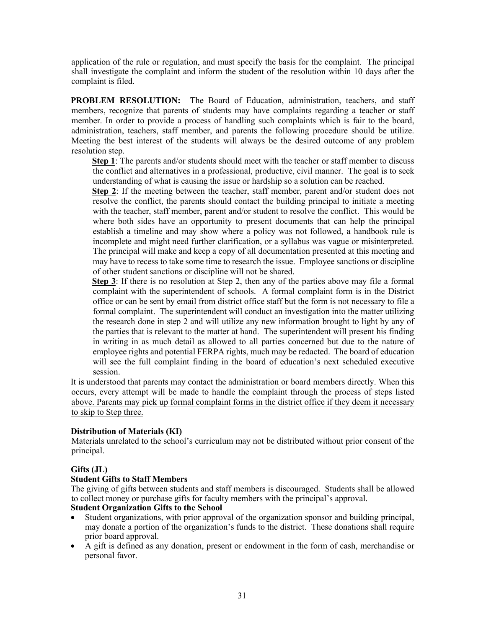application of the rule or regulation, and must specify the basis for the complaint. The principal shall investigate the complaint and inform the student of the resolution within 10 days after the complaint is filed.

**PROBLEM RESOLUTION:** The Board of Education, administration, teachers, and staff members, recognize that parents of students may have complaints regarding a teacher or staff member. In order to provide a process of handling such complaints which is fair to the board, administration, teachers, staff member, and parents the following procedure should be utilize. Meeting the best interest of the students will always be the desired outcome of any problem resolution step.

**Step 1**: The parents and/or students should meet with the teacher or staff member to discuss the conflict and alternatives in a professional, productive, civil manner. The goal is to seek understanding of what is causing the issue or hardship so a solution can be reached.

**Step 2**: If the meeting between the teacher, staff member, parent and/or student does not resolve the conflict, the parents should contact the building principal to initiate a meeting with the teacher, staff member, parent and/or student to resolve the conflict. This would be where both sides have an opportunity to present documents that can help the principal establish a timeline and may show where a policy was not followed, a handbook rule is incomplete and might need further clarification, or a syllabus was vague or misinterpreted. The principal will make and keep a copy of all documentation presented at this meeting and may have to recess to take some time to research the issue. Employee sanctions or discipline of other student sanctions or discipline will not be shared.

Step 3: If there is no resolution at Step 2, then any of the parties above may file a formal complaint with the superintendent of schools. A formal complaint form is in the District office or can be sent by email from district office staff but the form is not necessary to file a formal complaint. The superintendent will conduct an investigation into the matter utilizing the research done in step 2 and will utilize any new information brought to light by any of the parties that is relevant to the matter at hand. The superintendent will present his finding in writing in as much detail as allowed to all parties concerned but due to the nature of employee rights and potential FERPA rights, much may be redacted. The board of education will see the full complaint finding in the board of education's next scheduled executive session.

It is understood that parents may contact the administration or board members directly. When this occurs, every attempt will be made to handle the complaint through the process of steps listed above. Parents may pick up formal complaint forms in the district office if they deem it necessary to skip to Step three.

#### **Distribution of Materials (KI)**

Materials unrelated to the school's curriculum may not be distributed without prior consent of the principal.

# **Gifts (JL)**

#### **Student Gifts to Staff Members**

The giving of gifts between students and staff members is discouraged. Students shall be allowed to collect money or purchase gifts for faculty members with the principal's approval.

#### **Student Organization Gifts to the School**

- Student organizations, with prior approval of the organization sponsor and building principal, may donate a portion of the organization's funds to the district. These donations shall require prior board approval.
- A gift is defined as any donation, present or endowment in the form of cash, merchandise or personal favor.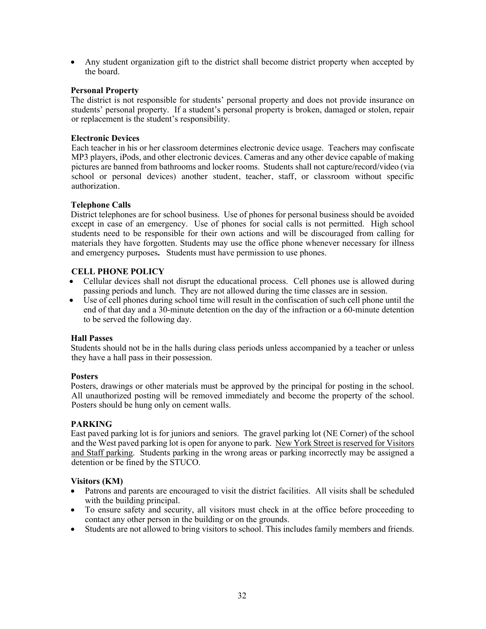• Any student organization gift to the district shall become district property when accepted by the board.

#### **Personal Property**

The district is not responsible for students' personal property and does not provide insurance on students' personal property. If a student's personal property is broken, damaged or stolen, repair or replacement is the student's responsibility.

## **Electronic Devices**

Each teacher in his or her classroom determines electronic device usage. Teachers may confiscate MP3 players, iPods, and other electronic devices. Cameras and any other device capable of making pictures are banned from bathrooms and locker rooms. Students shall not capture/record/video (via school or personal devices) another student, teacher, staff, or classroom without specific authorization.

## **Telephone Calls**

District telephones are for school business. Use of phones for personal business should be avoided except in case of an emergency. Use of phones for social calls is not permitted. High school students need to be responsible for their own actions and will be discouraged from calling for materials they have forgotten. Students may use the office phone whenever necessary for illness and emergency purposes**.** Students must have permission to use phones.

## **CELL PHONE POLICY**

- Cellular devices shall not disrupt the educational process. Cell phones use is allowed during passing periods and lunch. They are not allowed during the time classes are in session.
- Use of cell phones during school time will result in the confiscation of such cell phone until the end of that day and a 30-minute detention on the day of the infraction or a 60-minute detention to be served the following day.

#### **Hall Passes**

Students should not be in the halls during class periods unless accompanied by a teacher or unless they have a hall pass in their possession.

#### **Posters**

Posters, drawings or other materials must be approved by the principal for posting in the school. All unauthorized posting will be removed immediately and become the property of the school. Posters should be hung only on cement walls.

#### **PARKING**

East paved parking lot is for juniors and seniors. The gravel parking lot (NE Corner) of the school and the West paved parking lot is open for anyone to park. New York Street is reserved for Visitors and Staff parking. Students parking in the wrong areas or parking incorrectly may be assigned a detention or be fined by the STUCO.

#### **Visitors (KM)**

- Patrons and parents are encouraged to visit the district facilities. All visits shall be scheduled with the building principal.
- To ensure safety and security, all visitors must check in at the office before proceeding to contact any other person in the building or on the grounds.
- Students are not allowed to bring visitors to school. This includes family members and friends.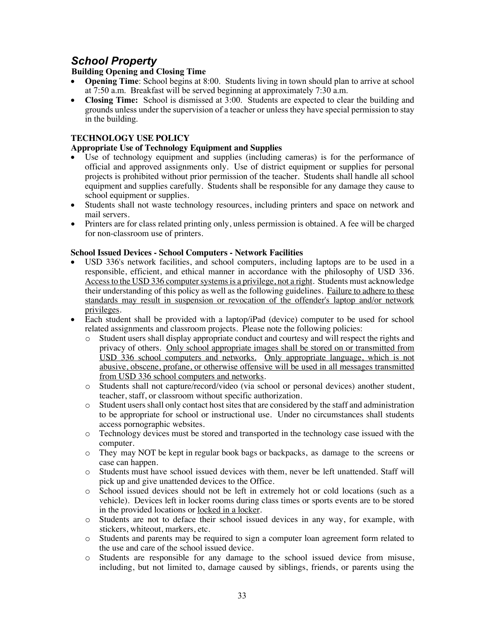# *School Property*

# **Building Opening and Closing Time**

- **Opening Time**: School begins at 8:00.Students living in town should plan to arrive at school at 7:50 a.m. Breakfast will be served beginning at approximately 7:30 a.m.
- **Closing Time:** School is dismissed at 3:00. Students are expected to clear the building and grounds unless under the supervision of a teacher or unless they have special permission to stay in the building.

# **TECHNOLOGY USE POLICY**

# **Appropriate Use of Technology Equipment and Supplies**

- Use of technology equipment and supplies (including cameras) is for the performance of official and approved assignments only. Use of district equipment or supplies for personal projects is prohibited without prior permission of the teacher. Students shall handle all school equipment and supplies carefully. Students shall be responsible for any damage they cause to school equipment or supplies.
- Students shall not waste technology resources, including printers and space on network and mail servers.
- Printers are for class related printing only, unless permission is obtained. A fee will be charged for non-classroom use of printers.

## **School Issued Devices - School Computers - Network Facilities**

- USD 336's network facilities, and school computers, including laptops are to be used in a responsible, efficient, and ethical manner in accordance with the philosophy of USD 336. Access to the USD 336 computer systems is a privilege, not a right. Students must acknowledge their understanding of this policy as well as the following guidelines. Failure to adhere to these standards may result in suspension or revocation of the offender's laptop and/or network privileges.
- Each student shall be provided with a laptop/iPad (device) computer to be used for school related assignments and classroom projects. Please note the following policies:
	- o Student users shall display appropriate conduct and courtesy and will respect the rights and privacy of others. Only school appropriate images shall be stored on or transmitted from USD 336 school computers and networks. Only appropriate language, which is not abusive, obscene, profane, or otherwise offensive will be used in all messages transmitted from USD 336 school computers and networks.
	- o Students shall not capture/record/video (via school or personal devices) another student, teacher, staff, or classroom without specific authorization.
	- o Student users shall only contact host sites that are considered by the staff and administration to be appropriate for school or instructional use. Under no circumstances shall students access pornographic websites.
	- o Technology devices must be stored and transported in the technology case issued with the computer.
	- o They may NOT be kept in regular book bags or backpacks, as damage to the screens or case can happen.
	- o Students must have school issued devices with them, never be left unattended. Staff will pick up and give unattended devices to the Office.
	- o School issued devices should not be left in extremely hot or cold locations (such as a vehicle). Devices left in locker rooms during class times or sports events are to be stored in the provided locations or locked in a locker.
	- o Students are not to deface their school issued devices in any way, for example, with stickers, whiteout, markers, etc.
	- Students and parents may be required to sign a computer loan agreement form related to the use and care of the school issued device.
	- o Students are responsible for any damage to the school issued device from misuse, including, but not limited to, damage caused by siblings, friends, or parents using the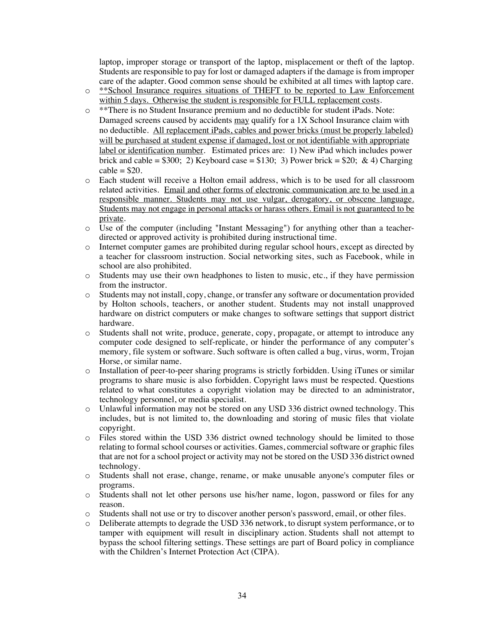laptop, improper storage or transport of the laptop, misplacement or theft of the laptop. Students are responsible to pay for lost or damaged adapters if the damage is from improper care of the adapter. Good common sense should be exhibited at all times with laptop care.

- o \*\*School Insurance requires situations of THEFT to be reported to Law Enforcement within 5 days. Otherwise the student is responsible for FULL replacement costs.
- o \*\*There is no Student Insurance premium and no deductible for student iPads. Note: Damaged screens caused by accidents may qualify for a 1X School Insurance claim with no deductible. All replacement iPads, cables and power bricks (must be properly labeled) will be purchased at student expense if damaged, lost or not identifiable with appropriate label or identification number. Estimated prices are: 1) New iPad which includes power brick and cable =  $$300; 2)$  Keyboard case =  $$130; 3)$  Power brick =  $$20; \& 4)$  Charging  $\text{cable} = $20.$
- o Each student will receive a Holton email address, which is to be used for all classroom related activities. Email and other forms of electronic communication are to be used in a responsible manner. Students may not use vulgar, derogatory, or obscene language. Students may not engage in personal attacks or harass others. Email is not guaranteed to be private.
- $\circ$  Use of the computer (including "Instant Messaging") for anything other than a teacherdirected or approved activity is prohibited during instructional time.
- o Internet computer games are prohibited during regular school hours, except as directed by a teacher for classroom instruction. Social networking sites, such as Facebook, while in school are also prohibited.
- o Students may use their own headphones to listen to music, etc., if they have permission from the instructor.
- o Students may not install, copy, change, or transfer any software or documentation provided by Holton schools, teachers, or another student. Students may not install unapproved hardware on district computers or make changes to software settings that support district hardware.
- o Students shall not write, produce, generate, copy, propagate, or attempt to introduce any computer code designed to self-replicate, or hinder the performance of any computer's memory, file system or software. Such software is often called a bug, virus, worm, Trojan Horse, or similar name.
- o Installation of peer-to-peer sharing programs is strictly forbidden. Using iTunes or similar programs to share music is also forbidden. Copyright laws must be respected. Questions related to what constitutes a copyright violation may be directed to an administrator, technology personnel, or media specialist.
- o Unlawful information may not be stored on any USD 336 district owned technology. This includes, but is not limited to, the downloading and storing of music files that violate copyright.
- o Files stored within the USD 336 district owned technology should be limited to those relating to formal school courses or activities. Games, commercial software or graphic files that are not for a school project or activity may not be stored on the USD 336 district owned technology.
- o Students shall not erase, change, rename, or make unusable anyone's computer files or programs.
- o Students shall not let other persons use his/her name, logon, password or files for any reason.
- o Students shall not use or try to discover another person's password, email, or other files.
- o Deliberate attempts to degrade the USD 336 network, to disrupt system performance, or to tamper with equipment will result in disciplinary action. Students shall not attempt to bypass the school filtering settings. These settings are part of Board policy in compliance with the Children's Internet Protection Act (CIPA).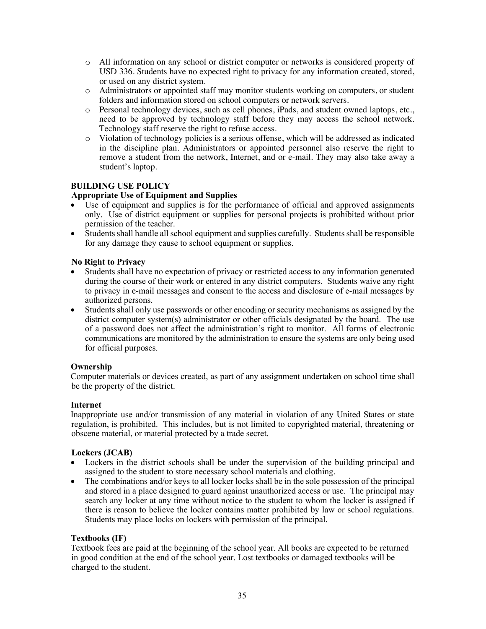- o All information on any school or district computer or networks is considered property of USD 336. Students have no expected right to privacy for any information created, stored, or used on any district system.
- o Administrators or appointed staff may monitor students working on computers, or student folders and information stored on school computers or network servers.
- o Personal technology devices, such as cell phones, iPads, and student owned laptops, etc., need to be approved by technology staff before they may access the school network. Technology staff reserve the right to refuse access.
- o Violation of technology policies is a serious offense, which will be addressed as indicated in the discipline plan. Administrators or appointed personnel also reserve the right to remove a student from the network, Internet, and or e-mail. They may also take away a student's laptop.

# **BUILDING USE POLICY**

## **Appropriate Use of Equipment and Supplies**

- Use of equipment and supplies is for the performance of official and approved assignments only. Use of district equipment or supplies for personal projects is prohibited without prior permission of the teacher.
- Students shall handle all school equipment and supplies carefully. Students shall be responsible for any damage they cause to school equipment or supplies.

#### **No Right to Privacy**

- Students shall have no expectation of privacy or restricted access to any information generated during the course of their work or entered in any district computers. Students waive any right to privacy in e-mail messages and consent to the access and disclosure of e-mail messages by authorized persons.
- Students shall only use passwords or other encoding or security mechanisms as assigned by the district computer system(s) administrator or other officials designated by the board. The use of a password does not affect the administration's right to monitor. All forms of electronic communications are monitored by the administration to ensure the systems are only being used for official purposes.

#### **Ownership**

Computer materials or devices created, as part of any assignment undertaken on school time shall be the property of the district.

#### **Internet**

Inappropriate use and/or transmission of any material in violation of any United States or state regulation, is prohibited. This includes, but is not limited to copyrighted material, threatening or obscene material, or material protected by a trade secret.

#### **Lockers (JCAB)**

- Lockers in the district schools shall be under the supervision of the building principal and assigned to the student to store necessary school materials and clothing.
- The combinations and/or keys to all locker locks shall be in the sole possession of the principal and stored in a place designed to guard against unauthorized access or use. The principal may search any locker at any time without notice to the student to whom the locker is assigned if there is reason to believe the locker contains matter prohibited by law or school regulations. Students may place locks on lockers with permission of the principal.

#### **Textbooks (IF)**

Textbook fees are paid at the beginning of the school year. All books are expected to be returned in good condition at the end of the school year. Lost textbooks or damaged textbooks will be charged to the student.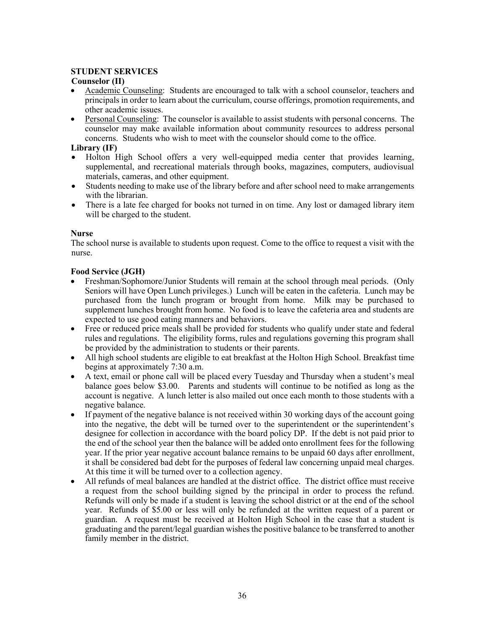# **STUDENT SERVICES**

### **Counselor (II)**

- Academic Counseling: Students are encouraged to talk with a school counselor, teachers and principals in order to learn about the curriculum, course offerings, promotion requirements, and other academic issues.
- Personal Counseling: The counselor is available to assist students with personal concerns. The counselor may make available information about community resources to address personal concerns. Students who wish to meet with the counselor should come to the office.

## **Library (IF)**

- Holton High School offers a very well-equipped media center that provides learning, supplemental, and recreational materials through books, magazines, computers, audiovisual materials, cameras, and other equipment.
- Students needing to make use of the library before and after school need to make arrangements with the librarian.
- There is a late fee charged for books not turned in on time. Any lost or damaged library item will be charged to the student.

## **Nurse**

The school nurse is available to students upon request. Come to the office to request a visit with the nurse.

## **Food Service (JGH)**

- Freshman/Sophomore/Junior Students will remain at the school through meal periods. (Only Seniors will have Open Lunch privileges.) Lunch will be eaten in the cafeteria. Lunch may be purchased from the lunch program or brought from home. Milk may be purchased to supplement lunches brought from home. No food is to leave the cafeteria area and students are expected to use good eating manners and behaviors.
- Free or reduced price meals shall be provided for students who qualify under state and federal rules and regulations. The eligibility forms, rules and regulations governing this program shall be provided by the administration to students or their parents.
- All high school students are eligible to eat breakfast at the Holton High School. Breakfast time begins at approximately 7:30 a.m.
- A text, email or phone call will be placed every Tuesday and Thursday when a student's meal balance goes below \$3.00. Parents and students will continue to be notified as long as the account is negative. A lunch letter is also mailed out once each month to those students with a negative balance.
- If payment of the negative balance is not received within 30 working days of the account going into the negative, the debt will be turned over to the superintendent or the superintendent's designee for collection in accordance with the board policy DP. If the debt is not paid prior to the end of the school year then the balance will be added onto enrollment fees for the following year. If the prior year negative account balance remains to be unpaid 60 days after enrollment, it shall be considered bad debt for the purposes of federal law concerning unpaid meal charges. At this time it will be turned over to a collection agency.
- All refunds of meal balances are handled at the district office. The district office must receive a request from the school building signed by the principal in order to process the refund. Refunds will only be made if a student is leaving the school district or at the end of the school year. Refunds of \$5.00 or less will only be refunded at the written request of a parent or guardian. A request must be received at Holton High School in the case that a student is graduating and the parent/legal guardian wishes the positive balance to be transferred to another family member in the district.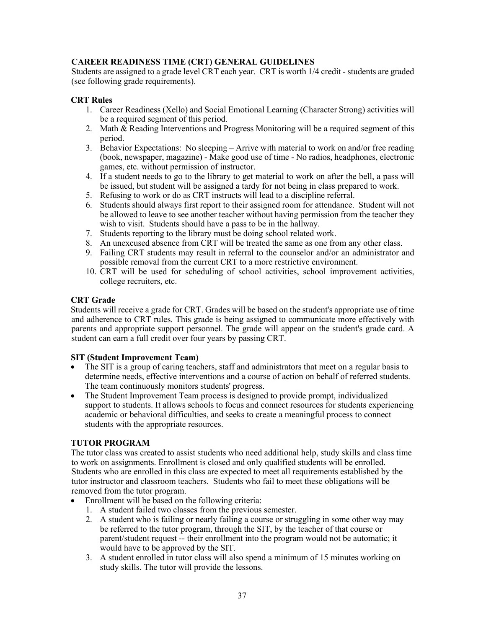# **CAREER READINESS TIME (CRT) GENERAL GUIDELINES**

Students are assigned to a grade level CRT each year. CRT is worth 1/4 credit - students are graded (see following grade requirements).

## **CRT Rules**

- 1. Career Readiness (Xello) and Social Emotional Learning (Character Strong) activities will be a required segment of this period.
- 2. Math  $\&$  Reading Interventions and Progress Monitoring will be a required segment of this period.
- 3. Behavior Expectations: No sleeping Arrive with material to work on and/or free reading (book, newspaper, magazine) - Make good use of time - No radios, headphones, electronic games, etc. without permission of instructor.
- 4. If a student needs to go to the library to get material to work on after the bell, a pass will be issued, but student will be assigned a tardy for not being in class prepared to work.
- 5. Refusing to work or do as CRT instructs will lead to a discipline referral.
- 6. Students should always first report to their assigned room for attendance. Student will not be allowed to leave to see another teacher without having permission from the teacher they wish to visit. Students should have a pass to be in the hallway.
- 7. Students reporting to the library must be doing school related work.
- 8. An unexcused absence from CRT will be treated the same as one from any other class.
- 9. Failing CRT students may result in referral to the counselor and/or an administrator and possible removal from the current CRT to a more restrictive environment.
- 10. CRT will be used for scheduling of school activities, school improvement activities, college recruiters, etc.

#### **CRT Grade**

Students will receive a grade for CRT. Grades will be based on the student's appropriate use of time and adherence to CRT rules. This grade is being assigned to communicate more effectively with parents and appropriate support personnel. The grade will appear on the student's grade card. A student can earn a full credit over four years by passing CRT.

#### **SIT (Student Improvement Team)**

- The SIT is a group of caring teachers, staff and administrators that meet on a regular basis to determine needs, effective interventions and a course of action on behalf of referred students. The team continuously monitors students' progress.
- The Student Improvement Team process is designed to provide prompt, individualized support to students. It allows schools to focus and connect resources for students experiencing academic or behavioral difficulties, and seeks to create a meaningful process to connect students with the appropriate resources.

#### **TUTOR PROGRAM**

The tutor class was created to assist students who need additional help, study skills and class time to work on assignments. Enrollment is closed and only qualified students will be enrolled. Students who are enrolled in this class are expected to meet all requirements established by the tutor instructor and classroom teachers. Students who fail to meet these obligations will be removed from the tutor program.

- Enrollment will be based on the following criteria:
	- 1. A student failed two classes from the previous semester.
	- 2. A student who is failing or nearly failing a course or struggling in some other way may be referred to the tutor program, through the SIT, by the teacher of that course or parent/student request -- their enrollment into the program would not be automatic; it would have to be approved by the SIT.
	- 3. A student enrolled in tutor class will also spend a minimum of 15 minutes working on study skills. The tutor will provide the lessons.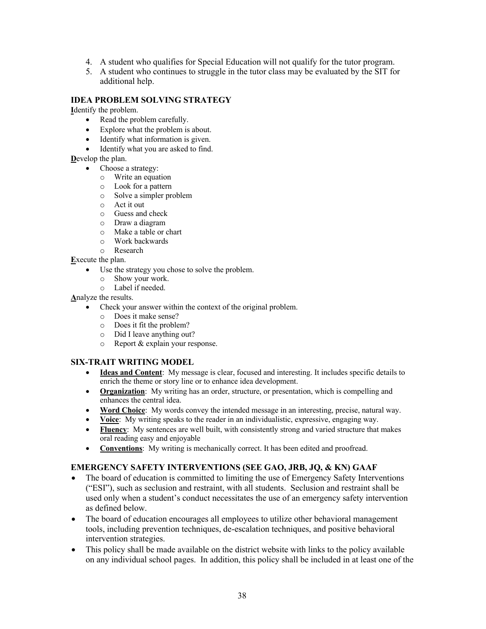- 4. A student who qualifies for Special Education will not qualify for the tutor program.
- 5. A student who continues to struggle in the tutor class may be evaluated by the SIT for additional help.

#### **IDEA PROBLEM SOLVING STRATEGY**

**I**dentify the problem.

- Read the problem carefully.
- Explore what the problem is about.
- Identify what information is given.
- Identify what you are asked to find.

**D**evelop the plan.

- Choose a strategy:
- o Write an equation
- o Look for a pattern
- o Solve a simpler problem
- o Act it out
- o Guess and check
- o Draw a diagram
- o Make a table or chart
- o Work backwards
- o Research

**E**xecute the plan.

- Use the strategy you chose to solve the problem.
	- o Show your work.
	- o Label if needed.

# **A**nalyze the results.

- Check your answer within the context of the original problem.
	- o Does it make sense?
	- o Does it fit the problem?
	- o Did I leave anything out?
	- o Report & explain your response.

# **SIX-TRAIT WRITING MODEL**

- **Ideas and Content**: My message is clear, focused and interesting. It includes specific details to enrich the theme or story line or to enhance idea development.
- **Organization**: My writing has an order, structure, or presentation, which is compelling and enhances the central idea.
- **Word Choice**: My words convey the intended message in an interesting, precise, natural way.
- **Voice**: My writing speaks to the reader in an individualistic, expressive, engaging way.
- **Fluency**: My sentences are well built, with consistently strong and varied structure that makes oral reading easy and enjoyable
- **Conventions**: My writing is mechanically correct. It has been edited and proofread.

# **EMERGENCY SAFETY INTERVENTIONS (SEE GAO, JRB, JQ, & KN) GAAF**

- The board of education is committed to limiting the use of Emergency Safety Interventions ("ESI"), such as seclusion and restraint, with all students. Seclusion and restraint shall be used only when a student's conduct necessitates the use of an emergency safety intervention as defined below.
- The board of education encourages all employees to utilize other behavioral management tools, including prevention techniques, de-escalation techniques, and positive behavioral intervention strategies.
- This policy shall be made available on the district website with links to the policy available on any individual school pages. In addition, this policy shall be included in at least one of the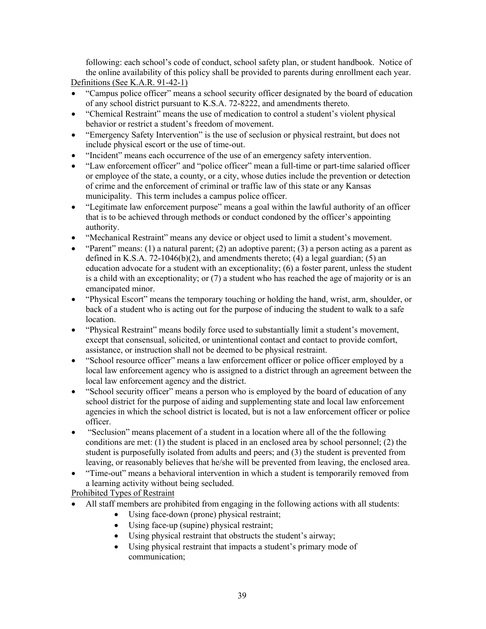following: each school's code of conduct, school safety plan, or student handbook. Notice of the online availability of this policy shall be provided to parents during enrollment each year. Definitions (See K.A.R. 91-42-1)

- "Campus police officer" means a school security officer designated by the board of education of any school district pursuant to K.S.A. 72-8222, and amendments thereto.
- "Chemical Restraint" means the use of medication to control a student's violent physical behavior or restrict a student's freedom of movement.
- "Emergency Safety Intervention" is the use of seclusion or physical restraint, but does not include physical escort or the use of time-out.
- "Incident" means each occurrence of the use of an emergency safety intervention.
- "Law enforcement officer" and "police officer" mean a full-time or part-time salaried officer or employee of the state, a county, or a city, whose duties include the prevention or detection of crime and the enforcement of criminal or traffic law of this state or any Kansas municipality. This term includes a campus police officer.
- "Legitimate law enforcement purpose" means a goal within the lawful authority of an officer that is to be achieved through methods or conduct condoned by the officer's appointing authority.
- "Mechanical Restraint" means any device or object used to limit a student's movement.
- "Parent" means: (1) a natural parent; (2) an adoptive parent; (3) a person acting as a parent as defined in K.S.A. 72-1046(b)(2), and amendments thereto; (4) a legal guardian; (5) an education advocate for a student with an exceptionality; (6) a foster parent, unless the student is a child with an exceptionality; or (7) a student who has reached the age of majority or is an emancipated minor.
- "Physical Escort" means the temporary touching or holding the hand, wrist, arm, shoulder, or back of a student who is acting out for the purpose of inducing the student to walk to a safe location.
- "Physical Restraint" means bodily force used to substantially limit a student's movement, except that consensual, solicited, or unintentional contact and contact to provide comfort, assistance, or instruction shall not be deemed to be physical restraint.
- "School resource officer" means a law enforcement officer or police officer employed by a local law enforcement agency who is assigned to a district through an agreement between the local law enforcement agency and the district.
- "School security officer" means a person who is employed by the board of education of any school district for the purpose of aiding and supplementing state and local law enforcement agencies in which the school district is located, but is not a law enforcement officer or police officer.
- "Seclusion" means placement of a student in a location where all of the the following conditions are met: (1) the student is placed in an enclosed area by school personnel; (2) the student is purposefully isolated from adults and peers; and (3) the student is prevented from leaving, or reasonably believes that he/she will be prevented from leaving, the enclosed area.
- "Time-out" means a behavioral intervention in which a student is temporarily removed from a learning activity without being secluded.

Prohibited Types of Restraint

- All staff members are prohibited from engaging in the following actions with all students:
	- Using face-down (prone) physical restraint;
	- Using face-up (supine) physical restraint;
	- Using physical restraint that obstructs the student's airway;
	- Using physical restraint that impacts a student's primary mode of communication;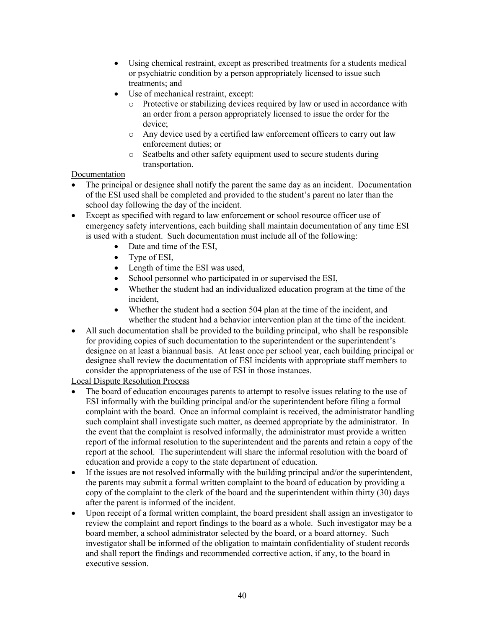- Using chemical restraint, except as prescribed treatments for a students medical or psychiatric condition by a person appropriately licensed to issue such treatments; and
- Use of mechanical restraint, except:
	- o Protective or stabilizing devices required by law or used in accordance with an order from a person appropriately licensed to issue the order for the device;
	- o Any device used by a certified law enforcement officers to carry out law enforcement duties; or
	- o Seatbelts and other safety equipment used to secure students during transportation.

## Documentation

- The principal or designee shall notify the parent the same day as an incident. Documentation of the ESI used shall be completed and provided to the student's parent no later than the school day following the day of the incident.
- Except as specified with regard to law enforcement or school resource officer use of emergency safety interventions, each building shall maintain documentation of any time ESI is used with a student. Such documentation must include all of the following:
	- Date and time of the ESI,
	- Type of ESI,
	- Length of time the ESI was used,
	- School personnel who participated in or supervised the ESI,
	- Whether the student had an individualized education program at the time of the incident,
	- Whether the student had a section 504 plan at the time of the incident, and whether the student had a behavior intervention plan at the time of the incident.
- All such documentation shall be provided to the building principal, who shall be responsible for providing copies of such documentation to the superintendent or the superintendent's designee on at least a biannual basis. At least once per school year, each building principal or designee shall review the documentation of ESI incidents with appropriate staff members to consider the appropriateness of the use of ESI in those instances.

# Local Dispute Resolution Process

- The board of education encourages parents to attempt to resolve issues relating to the use of ESI informally with the building principal and/or the superintendent before filing a formal complaint with the board. Once an informal complaint is received, the administrator handling such complaint shall investigate such matter, as deemed appropriate by the administrator. In the event that the complaint is resolved informally, the administrator must provide a written report of the informal resolution to the superintendent and the parents and retain a copy of the report at the school. The superintendent will share the informal resolution with the board of education and provide a copy to the state department of education.
- If the issues are not resolved informally with the building principal and/or the superintendent, the parents may submit a formal written complaint to the board of education by providing a copy of the complaint to the clerk of the board and the superintendent within thirty (30) days after the parent is informed of the incident.
- Upon receipt of a formal written complaint, the board president shall assign an investigator to review the complaint and report findings to the board as a whole. Such investigator may be a board member, a school administrator selected by the board, or a board attorney. Such investigator shall be informed of the obligation to maintain confidentiality of student records and shall report the findings and recommended corrective action, if any, to the board in executive session.